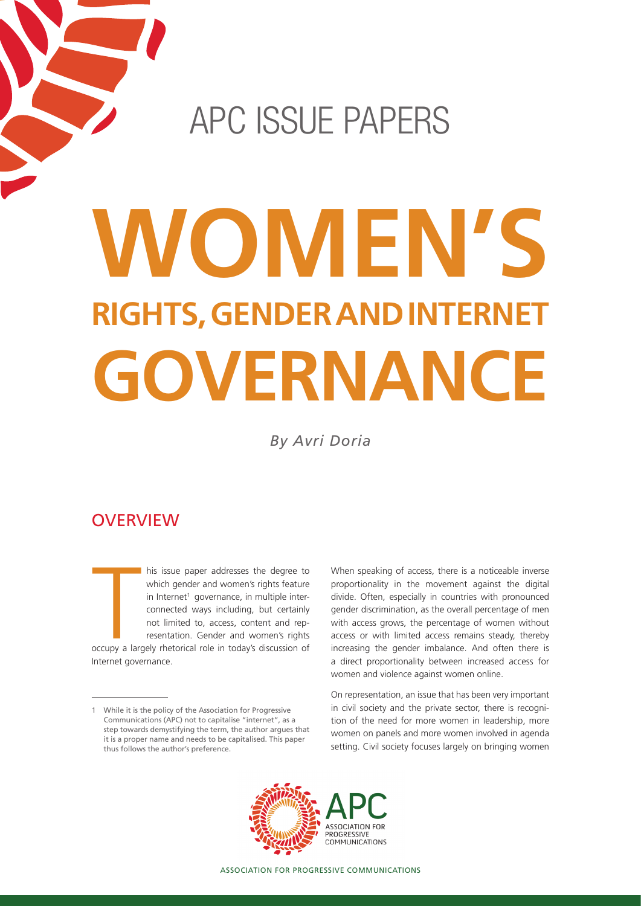# apc issue paperS

# **Women's rights, gender and Internet governance**

*By Avri Doria*

# **OVERVIEW**

 $\begin{bmatrix} \frac{1}{2} \\ \frac{1}{2} \\ \frac{1}{2} \\ \frac{1}{2} \\ \frac{1}{2} \\ \frac{1}{2} \\ \frac{1}{2} \\ \frac{1}{2} \\ \frac{1}{2} \\ \frac{1}{2} \\ \frac{1}{2} \\ \frac{1}{2} \\ \frac{1}{2} \\ \frac{1}{2} \\ \frac{1}{2} \\ \frac{1}{2} \\ \frac{1}{2} \\ \frac{1}{2} \\ \frac{1}{2} \\ \frac{1}{2} \\ \frac{1}{2} \\ \frac{1}{2} \\ \frac{1}{2} \\ \frac{1}{2} \\ \frac{1}{2} \\ \frac{1}{2} \\ \frac{1}{2$ his issue paper addresses the degree to which gender and women's rights feature in Internet<sup>1</sup> governance, in multiple interconnected ways including, but certainly not limited to, access, content and representation. Gender and women's rights

occupy a largely rhetorical role in today's discussion of Internet governance.

When speaking of access, there is a noticeable inverse proportionality in the movement against the digital divide. Often, especially in countries with pronounced gender discrimination, as the overall percentage of men with access grows, the percentage of women without access or with limited access remains steady, thereby increasing the gender imbalance. And often there is a direct proportionality between increased access for women and violence against women online.

On representation, an issue that has been very important in civil society and the private sector, there is recognition of the need for more women in leadership, more women on panels and more women involved in agenda setting. Civil society focuses largely on bringing women



While it is the policy of the Association for Progressive Communications (APC) not to capitalise "internet", as a step towards demystifying the term, the author argues that it is a proper name and needs to be capitalised. This paper thus follows the author's preference.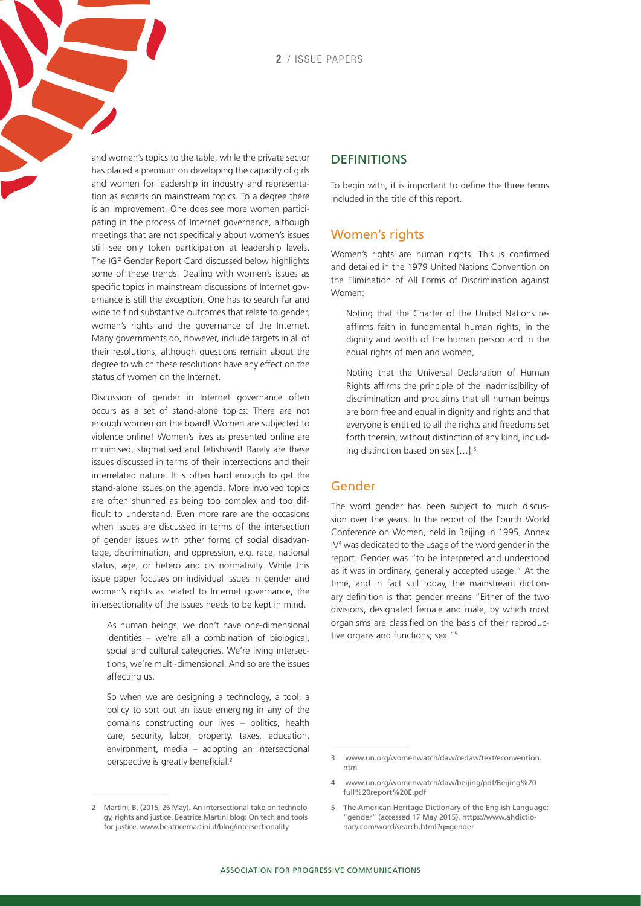**2** / issue papers

and women's topics to the table, while the private sector has placed a premium on developing the capacity of girls and women for leadership in industry and representation as experts on mainstream topics. To a degree there is an improvement. One does see more women participating in the process of Internet governance, although meetings that are not specifically about women's issues still see only token participation at leadership levels. The IGF Gender Report Card discussed below highlights some of these trends. Dealing with women's issues as specific topics in mainstream discussions of Internet governance is still the exception. One has to search far and wide to find substantive outcomes that relate to gender, women's rights and the governance of the Internet. Many governments do, however, include targets in all of their resolutions, although questions remain about the degree to which these resolutions have any effect on the status of women on the Internet.

Discussion of gender in Internet governance often occurs as a set of stand-alone topics: There are not enough women on the board! Women are subjected to violence online! Women's lives as presented online are minimised, stigmatised and fetishised! Rarely are these issues discussed in terms of their intersections and their interrelated nature. It is often hard enough to get the stand-alone issues on the agenda. More involved topics are often shunned as being too complex and too difficult to understand. Even more rare are the occasions when issues are discussed in terms of the intersection of gender issues with other forms of social disadvantage, discrimination, and oppression, e.g. race, national status, age, or hetero and cis normativity. While this issue paper focuses on individual issues in gender and women's rights as related to Internet governance, the intersectionality of the issues needs to be kept in mind.

As human beings, we don't have one-dimensional identities – we're all a combination of biological, social and cultural categories. We're living intersections, we're multi-dimensional. And so are the issues affecting us.

So when we are designing a technology, a tool, a policy to sort out an issue emerging in any of the domains constructing our lives – politics, health care, security, labor, property, taxes, education, environment, media – adopting an intersectional perspective is greatly beneficial.<sup>2</sup>

#### **DEFINITIONS**

To begin with, it is important to define the three terms included in the title of this report.

#### Women's rights

Women's rights are human rights. This is confirmed and detailed in the 1979 United Nations Convention on the Elimination of All Forms of Discrimination against Women:

Noting that the Charter of the United Nations reaffirms faith in fundamental human rights, in the dignity and worth of the human person and in the equal rights of men and women,

Noting that the Universal Declaration of Human Rights affirms the principle of the inadmissibility of discrimination and proclaims that all human beings are born free and equal in dignity and rights and that everyone is entitled to all the rights and freedoms set forth therein, without distinction of any kind, including distinction based on sex [...].<sup>3</sup>

#### Gender

The word gender has been subject to much discussion over the years. In the report of the Fourth World Conference on Women, held in Beijing in 1995, Annex IV4 was dedicated to the usage of the word gender in the report. Gender was "to be interpreted and understood as it was in ordinary, generally accepted usage." At the time, and in fact still today, the mainstream dictionary definition is that gender means "Either of the two divisions, designated female and male, by which most organisms are classified on the basis of their reproductive organs and functions; sex."5

<sup>2</sup> Martini, B. (2015, 26 May). An intersectional take on technology, rights and justice. Beatrice Martini blog: On tech and tools for justice. [www.beatricemartini.it/blog/intersectionality](http://www.beatricemartini.it/blog/intersectionality/)

<sup>3</sup> [www.un.org/womenwatch/daw/cedaw/text/econvention.](http://www.un.org/womenwatch/daw/cedaw/text/econvention.htm) [htm](http://www.un.org/womenwatch/daw/cedaw/text/econvention.htm)

<sup>4</sup> [www.un.org/womenwatch/daw/beijing/pdf/Beijing%20](http://www.un.org/womenwatch/daw/beijing/pdf/Beijing full report E.pdf) [full%20report%20E.pdf](http://www.un.org/womenwatch/daw/beijing/pdf/Beijing full report E.pdf) 

<sup>5</sup> The American Heritage Dictionary of the English Language: "gender" (accessed 17 May 2015). [https://www.ahdictio](https://www.ahdictionary.com/word/search.html?q=gender)[nary.com/word/search.html?q=gender](https://www.ahdictionary.com/word/search.html?q=gender)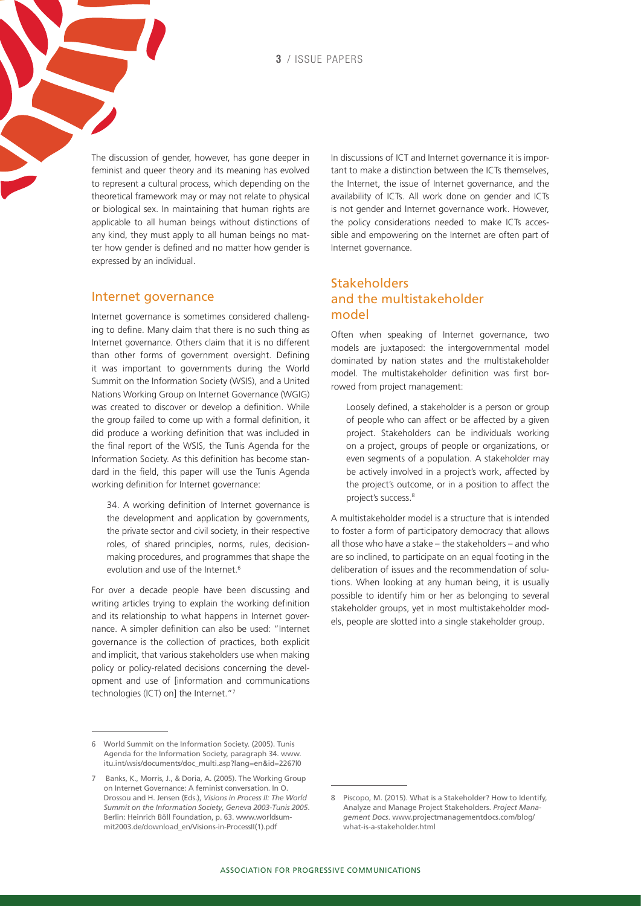**3** / issue papers

The discussion of gender, however, has gone deeper in feminist and queer theory and its meaning has evolved to represent a cultural process, which depending on the theoretical framework may or may not relate to physical or biological sex. In maintaining that human rights are applicable to all human beings without distinctions of any kind, they must apply to all human beings no matter how gender is defined and no matter how gender is expressed by an individual.

#### Internet governance

Internet governance is sometimes considered challenging to define. Many claim that there is no such thing as Internet governance. Others claim that it is no different than other forms of government oversight. Defining it was important to governments during the World Summit on the Information Society (WSIS), and a United Nations Working Group on Internet Governance (WGIG) was created to discover or develop a definition. While the group failed to come up with a formal definition, it did produce a working definition that was included in the final report of the WSIS, the Tunis Agenda for the Information Society. As this definition has become standard in the field, this paper will use the Tunis Agenda working definition for Internet governance:

34. A working definition of Internet governance is the development and application by governments, the private sector and civil society, in their respective roles, of shared principles, norms, rules, decisionmaking procedures, and programmes that shape the evolution and use of the Internet.<sup>6</sup>

For over a decade people have been discussing and writing articles trying to explain the working definition and its relationship to what happens in Internet governance. A simpler definition can also be used: "Internet governance is the collection of practices, both explicit and implicit, that various stakeholders use when making policy or policy-related decisions concerning the development and use of [information and communications technologies (ICT) on] the Internet."7

In discussions of ICT and Internet governance it is important to make a distinction between the ICTs themselves, the Internet, the issue of Internet governance, and the availability of ICTs. All work done on gender and ICTs is not gender and Internet governance work. However, the policy considerations needed to make ICTs accessible and empowering on the Internet are often part of Internet governance.

#### **Stakeholders** and the multistakeholder model

Often when speaking of Internet governance, two models are juxtaposed: the intergovernmental model dominated by nation states and the multistakeholder model. The multistakeholder definition was first borrowed from project management:

Loosely defined, a stakeholder is a person or group of people who can affect or be affected by a given project. Stakeholders can be individuals working on a project, groups of people or organizations, or even segments of a population. A stakeholder may be actively involved in a project's work, affected by the project's outcome, or in a position to affect the project's success.<sup>8</sup>

A multistakeholder model is a structure that is intended to foster a form of participatory democracy that allows all those who have a stake – the stakeholders – and who are so inclined, to participate on an equal footing in the deliberation of issues and the recommendation of solutions. When looking at any human being, it is usually possible to identify him or her as belonging to several stakeholder groups, yet in most multistakeholder models, people are slotted into a single stakeholder group.

<sup>6</sup> World Summit on the Information Society. (2005). Tunis Agenda for the Information Society, paragraph 34. [www.](http://www.itu.int/wsis/documents/doc_multi.asp?lang=en&id=2267|0) [itu.int/wsis/documents/doc\\_multi.asp?lang=en&id=2267|0](http://www.itu.int/wsis/documents/doc_multi.asp?lang=en&id=2267|0)

<sup>7</sup> Banks, K., Morris, J., & Doria, A. (2005). The Working Group on Internet Governance: A feminist conversation. In O. Drossou and H. Jensen (Eds.), *Visions in Process II: The World Summit on the Information Society, Geneva 2003-Tunis 2005*. Berlin: Heinrich Böll Foundation, p. 63. [www.worldsum](http://www.worldsummit2003.de/download_en/Visions-in-ProcessII(1).pdf)[mit2003.de/download\\_en/Visions-in-ProcessII\(1\).pdf](http://www.worldsummit2003.de/download_en/Visions-in-ProcessII(1).pdf)

<sup>8</sup> Piscopo, M. (2015). What is a Stakeholder? How to Identify, Analyze and Manage Project Stakeholders. *Project Management Docs*. [www.projectmanagementdocs.com/blog/](http://www.projectmanagementdocs.com/blog/what-is-a-stakeholder.html) [what-is-a-stakeholder.html](http://www.projectmanagementdocs.com/blog/what-is-a-stakeholder.html)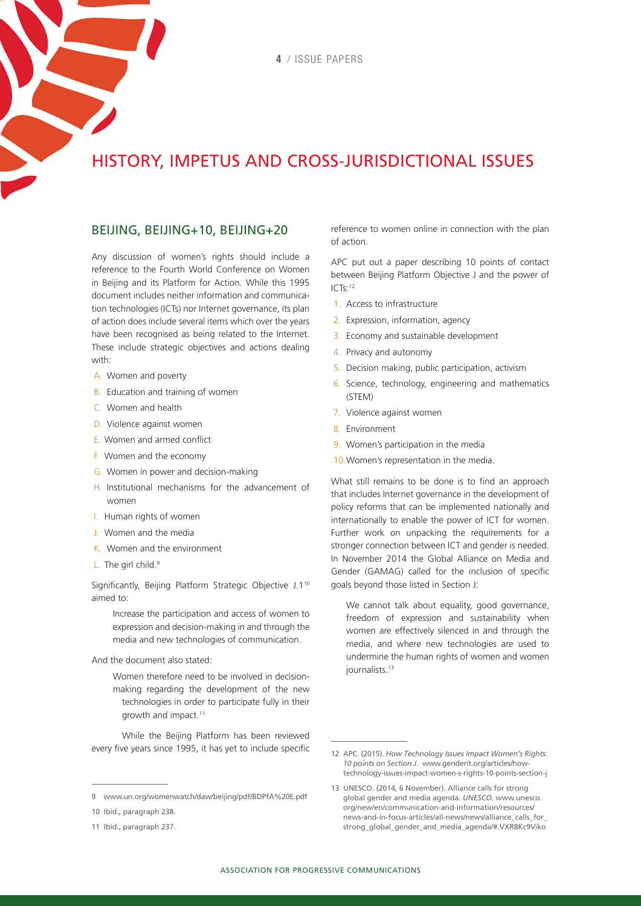# history, impetus and cross-jurisdictional issues

#### beijing, beijing+10, beijing+20

Any discussion of women's rights should include a reference to the Fourth World Conference on Women in Beijing and its Platform for Action. While this 1995 document includes neither information and communication technologies (ICTs) nor Internet governance, its plan of action does include several items which over the years have been recognised as being related to the Internet. These include strategic objectives and actions dealing with:

- A. Women and poverty
- B. Education and training of women
- C. Women and health
- D. Violence against women
- E. Women and armed conflict
- F. Women and the economy
- G. Women in power and decision-making
- H. Institutional mechanisms for the advancement of women
- I. Human rights of women
- J. Women and the media
- K. Women and the environment
- L. The girl child.<sup>9</sup>

Significantly, Beijing Platform Strategic Objective J.1<sup>10</sup> aimed to:

Increase the participation and access of women to expression and decision-making in and through the media and new technologies of communication.

And the document also stated:

Women therefore need to be involved in decisionmaking regarding the development of the new technologies in order to participate fully in their growth and impact.11

While the Beijing Platform has been reviewed every five years since 1995, it has yet to include specific reference to women online in connection with the plan of action.

APC put out a paper describing 10 points of contact between Beijing Platform Objective J and the power of ICTs:12

- 1. Access to infrastructure
- 2. Expression, information, agency
- 3. Economy and sustainable development
- 4. Privacy and autonomy
- 5. Decision making, public participation, activism
- 6. Science, technology, engineering and mathematics (STEM)
- 7. Violence against women
- 8. Environment
- 9. Women's participation in the media
- 10.Women's representation in the media.

What still remains to be done is to find an approach that includes Internet governance in the development of policy reforms that can be implemented nationally and internationally to enable the power of ICT for women. Further work on unpacking the requirements for a stronger connection between ICT and gender is needed. In November 2014 the Global Alliance on Media and Gender (GAMAG) called for the inclusion of specific goals beyond those listed in Section J:

We cannot talk about equality, good governance, freedom of expression and sustainability when women are effectively silenced in and through the media, and where new technologies are used to undermine the human rights of women and women iournalists.<sup>13</sup>

<sup>9</sup> [www.un.org/womenwatch/daw/beijing/pdf/BDPfA%20E.pdf](http://www.un.org/womenwatch/daw/beijing/pdf/BDPfA E.pdf) 

<sup>10</sup> Ibid., paragraph 238.

<sup>11</sup> Ibid., paragraph 237.

<sup>12</sup> APC. (2015). *How Technology Issues Impact Women's Rights: 10 points on Section J*. [www.genderit.org/articles/how](http://www.genderit.org/articles/how-technology-issues-impact-women-s-rights-10-points-section-j)[technology-issues-impact-women-s-rights-10-points-section-j](http://www.genderit.org/articles/how-technology-issues-impact-women-s-rights-10-points-section-j)

<sup>13</sup> UNESCO. (2014, 6 November). Alliance calls for strong global gender and media agenda. *UNESCO*. www.unesco. org/new/en/communication-and-information/resources/ news-and-in-focus-articles/all-news/news/alliance\_calls\_for\_ strong\_global\_gender\_and\_media\_agenda/#.VXR8Kc9Viko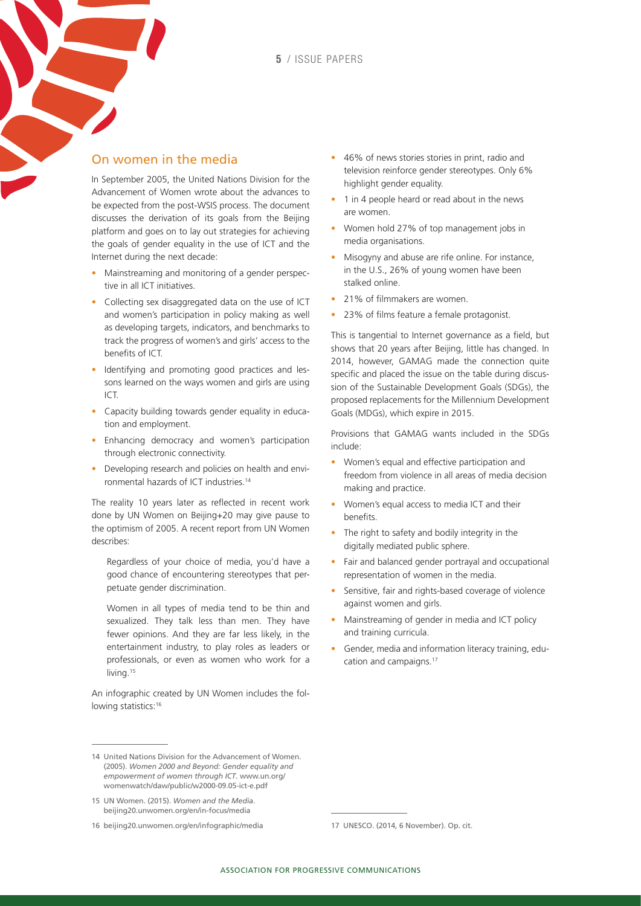#### On women in the media

In September 2005, the United Nations Division for the Advancement of Women wrote about the advances to be expected from the post-WSIS process. The document discusses the derivation of its goals from the Beijing platform and goes on to lay out strategies for achieving the goals of gender equality in the use of ICT and the Internet during the next decade:

- Mainstreaming and monitoring of a gender perspective in all ICT initiatives.
- Collecting sex disaggregated data on the use of ICT and women's participation in policy making as well as developing targets, indicators, and benchmarks to track the progress of women's and girls' access to the benefits of ICT.
- Identifying and promoting good practices and lessons learned on the ways women and girls are using ICT.
- Capacity building towards gender equality in education and employment.
- Enhancing democracy and women's participation through electronic connectivity.
- Developing research and policies on health and environmental hazards of ICT industries.14

The reality 10 years later as reflected in recent work done by UN Women on Beijing+20 may give pause to the optimism of 2005. A recent report from UN Women describes:

Regardless of your choice of media, you'd have a good chance of encountering stereotypes that perpetuate gender discrimination.

Women in all types of media tend to be thin and sexualized. They talk less than men. They have fewer opinions. And they are far less likely, in the entertainment industry, to play roles as leaders or professionals, or even as women who work for a living.<sup>15</sup>

An infographic created by UN Women includes the following statistics:<sup>16</sup>

- 46% of news stories stories in print, radio and television reinforce gender stereotypes. Only 6% highlight gender equality.
- 1 in 4 people heard or read about in the news are women.
- Women hold 27% of top management jobs in media organisations.
- Misogyny and abuse are rife online. For instance, in the U.S., 26% of young women have been stalked online.
- 21% of filmmakers are women.
- 23% of films feature a female protagonist.

This is tangential to Internet governance as a field, but shows that 20 years after Beijing, little has changed. In 2014, however, GAMAG made the connection quite specific and placed the issue on the table during discussion of the Sustainable Development Goals (SDGs), the proposed replacements for the Millennium Development Goals (MDGs), which expire in 2015.

Provisions that GAMAG wants included in the SDGs include:

- Women's equal and effective participation and freedom from violence in all areas of media decision making and practice.
- Women's equal access to media ICT and their benefits.
- The right to safety and bodily integrity in the digitally mediated public sphere.
- Fair and balanced gender portrayal and occupational representation of women in the media.
- Sensitive, fair and rights-based coverage of violence against women and girls.
- Mainstreaming of gender in media and ICT policy and training curricula.
- Gender, media and information literacy training, education and campaigns.<sup>17</sup>

<sup>14</sup> United Nations Division for the Advancement of Women. (2005). *Women 2000 and Beyond: Gender equality and empowerment of women through ICT.* [www.un.org/](http://www.un.org/womenwatch/daw/public/w2000-09.05-ict-e.pdf) [womenwatch/daw/public/w2000-09.05-ict-e.pdf](http://www.un.org/womenwatch/daw/public/w2000-09.05-ict-e.pdf)

<sup>15</sup> UN Women. (2015). *Women and the Media*. [beijing20.unwomen.org/en/in-focus/media](http://beijing20.unwomen.org/en/in-focus/media)

<sup>16</sup> [beijing20.unwomen.org/en/infographic/media](http://beijing20.unwomen.org/en/infographic/media) 

<sup>17</sup> UNESCO. (2014, 6 November). Op. cit.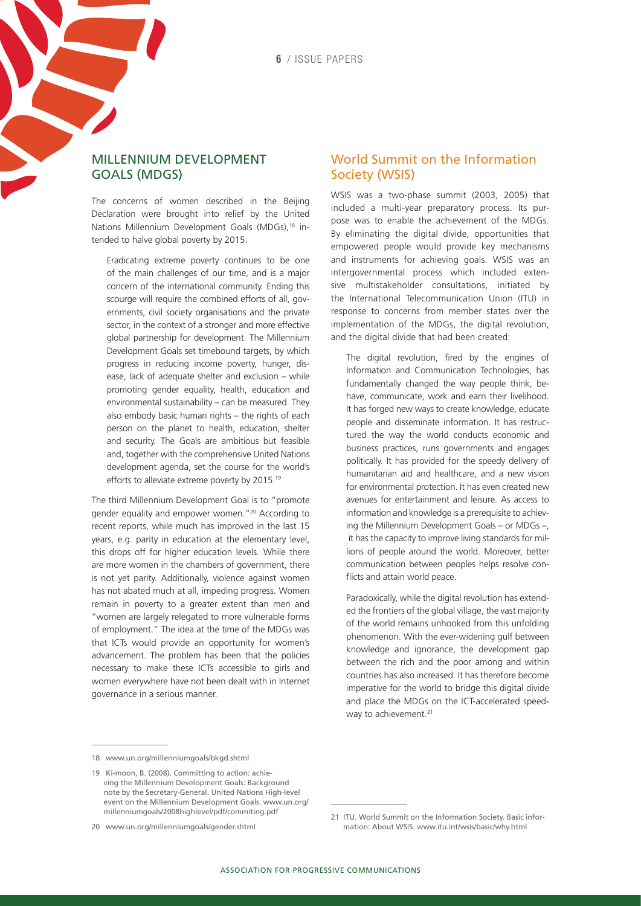#### Millennium Development Goals (MDGs)

The concerns of women described in the Beijing Declaration were brought into relief by the United Nations Millennium Development Goals (MDGs),<sup>18</sup> intended to halve global poverty by 2015:

Eradicating extreme poverty continues to be one of the main challenges of our time, and is a major concern of the international community. Ending this scourge will require the combined efforts of all, governments, civil society organisations and the private sector, in the context of a stronger and more effective global partnership for development. The Millennium Development Goals set timebound targets, by which progress in reducing income poverty, hunger, disease, lack of adequate shelter and exclusion – while promoting gender equality, health, education and environmental sustainability – can be measured. They also embody basic human rights – the rights of each person on the planet to health, education, shelter and security. The Goals are ambitious but feasible and, together with the comprehensive United Nations development agenda, set the course for the world's efforts to alleviate extreme poverty by 2015.19

The third Millennium Development Goal is to "promote gender equality and empower women."20 According to recent reports, while much has improved in the last 15 years, e.g. parity in education at the elementary level, this drops off for higher education levels. While there are more women in the chambers of government, there is not yet parity. Additionally, violence against women has not abated much at all, impeding progress. Women remain in poverty to a greater extent than men and "women are largely relegated to more vulnerable forms of employment." The idea at the time of the MDGs was that ICTs would provide an opportunity for women's advancement. The problem has been that the policies necessary to make these ICTs accessible to girls and women everywhere have not been dealt with in Internet governance in a serious manner.

#### World Summit on the Information Society (WSIS)

WSIS was a two-phase summit (2003, 2005) that included a multi-year preparatory process. Its purpose was to enable the achievement of the MDGs. By eliminating the digital divide, opportunities that empowered people would provide key mechanisms and instruments for achieving goals. WSIS was an intergovernmental process which included extensive multistakeholder consultations, initiated by the International Telecommunication Union (ITU) in response to concerns from member states over the implementation of the MDGs, the digital revolution, and the digital divide that had been created:

The digital revolution, fired by the engines of Information and Communication Technologies, has fundamentally changed the way people think, behave, communicate, work and earn their livelihood. It has forged new ways to create knowledge, educate people and disseminate information. It has restructured the way the world conducts economic and business practices, runs governments and engages politically. It has provided for the speedy delivery of humanitarian aid and healthcare, and a new vision for environmental protection. It has even created new avenues for entertainment and leisure. As access to information and knowledge is a prerequisite to achieving the Millennium Development Goals – or MDGs –, it has the capacity to improve living standards for millions of people around the world. Moreover, better communication between peoples helps resolve conflicts and attain world peace.

Paradoxically, while the digital revolution has extended the frontiers of the global village, the vast majority of the world remains unhooked from this unfolding phenomenon. With the ever-widening gulf between knowledge and ignorance, the development gap between the rich and the poor among and within countries has also increased. It has therefore become imperative for the world to bridge this digital divide and place the MDGs on the ICT-accelerated speedway to achievement.<sup>21</sup>

<sup>18</sup> [www.un.org/millenniumgoals/bkgd.shtml](http://www.un.org/millenniumgoals/bkgd.shtml) 

<sup>19</sup> Ki-moon, B. (2008). Committing to action: achieving the Millennium Development Goals: Background note by the Secretary-General. United Nations High-level event on the Millennium Development Goals. [www.un.org/](http://www.un.org/millenniumgoals/2008highlevel/pdf/commiting.pdf) [millenniumgoals/2008highlevel/pdf/commiting.pdf](http://www.un.org/millenniumgoals/2008highlevel/pdf/commiting.pdf) 

<sup>20</sup> [www.un.org/millenniumgoals/gender.shtml](http://www.un.org/millenniumgoals/gender.shtml)

<sup>21</sup> ITU. World Summit on the Information Society. Basic information: About WSIS. [www.itu.int/wsis/basic/why.html](http://www.itu.int/wsis/basic/why.html)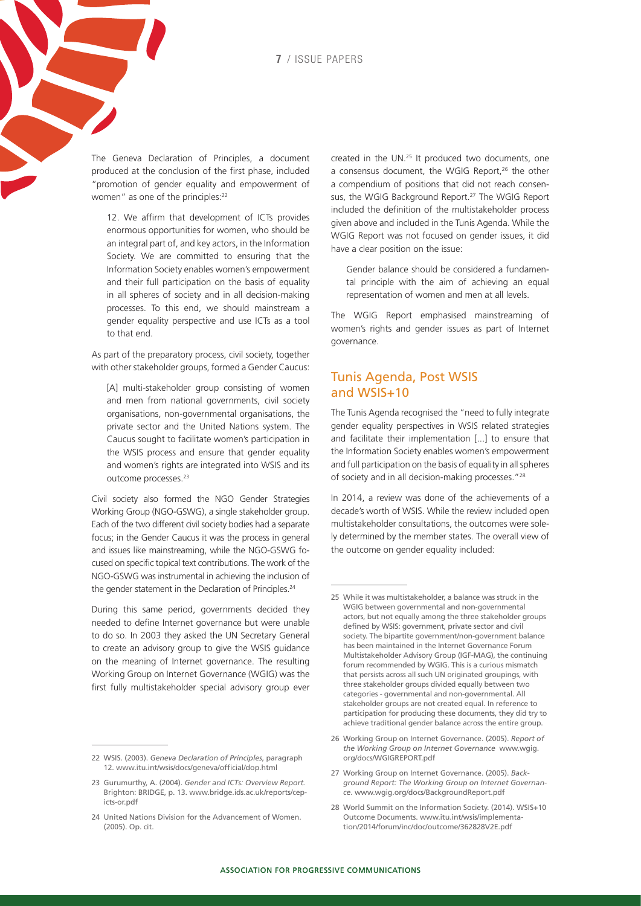The Geneva Declaration of Principles, a document produced at the conclusion of the first phase, included "promotion of gender equality and empowerment of women" as one of the principles:<sup>22</sup>

12. We affirm that development of ICTs provides enormous opportunities for women, who should be an integral part of, and key actors, in the Information Society. We are committed to ensuring that the Information Society enables women's empowerment and their full participation on the basis of equality in all spheres of society and in all decision-making processes. To this end, we should mainstream a gender equality perspective and use ICTs as a tool to that end.

As part of the preparatory process, civil society, together with other stakeholder groups, formed a Gender Caucus:

[A] multi-stakeholder group consisting of women and men from national governments, civil society organisations, non-governmental organisations, the private sector and the United Nations system. The Caucus sought to facilitate women's participation in the WSIS process and ensure that gender equality and women's rights are integrated into WSIS and its outcome processes.<sup>23</sup>

Civil society also formed the NGO Gender Strategies Working Group (NGO-GSWG), a single stakeholder group. Each of the two different civil society bodies had a separate focus; in the Gender Caucus it was the process in general and issues like mainstreaming, while the NGO-GSWG focused on specific topical text contributions. The work of the NGO-GSWG was instrumental in achieving the inclusion of the gender statement in the Declaration of Principles.<sup>24</sup>

During this same period, governments decided they needed to define Internet governance but were unable to do so. In 2003 they asked the UN Secretary General to create an advisory group to give the WSIS guidance on the meaning of Internet governance. The resulting Working Group on Internet Governance (WGIG) was the first fully multistakeholder special advisory group ever created in the UN.25 It produced two documents, one a consensus document, the WGIG Report,<sup>26</sup> the other a compendium of positions that did not reach consensus, the WGIG Background Report.<sup>27</sup> The WGIG Report included the definition of the multistakeholder process given above and included in the Tunis Agenda. While the WGIG Report was not focused on gender issues, it did have a clear position on the issue:

Gender balance should be considered a fundamental principle with the aim of achieving an equal representation of women and men at all levels.

The WGIG Report emphasised mainstreaming of women's rights and gender issues as part of Internet governance.

#### Tunis Agenda, Post WSIS and WSIS+10

The Tunis Agenda recognised the "need to fully integrate gender equality perspectives in WSIS related strategies and facilitate their implementation [...] to ensure that the Information Society enables women's empowerment and full participation on the basis of equality in all spheres of society and in all decision-making processes."28

In 2014, a review was done of the achievements of a decade's worth of WSIS. While the review included open multistakeholder consultations, the outcomes were solely determined by the member states. The overall view of the outcome on gender equality included:

- 27 Working Group on Internet Governance. (2005). *Background Report: The Working Group on Internet Governance*. [www.wgig.org/docs/BackgroundReport.pdf](http://www.wgig.org/docs/BackgroundReport.pdf)
- 28 World Summit on the Information Society. (2014). WSIS+10 Outcome Documents. [www.itu.int/wsis/implementa](http://www.itu.int/wsis/implementation/2014/forum/inc/doc/outcome/362828V2E.pdf)[tion/2014/forum/inc/doc/outcome/362828V2E.pdf](http://www.itu.int/wsis/implementation/2014/forum/inc/doc/outcome/362828V2E.pdf)

<sup>22</sup> WSIS. (2003). *Geneva Declaration of Principles*, paragraph 12. [www.itu.int/wsis/docs/geneva/official/dop.html](http://www.itu.int/wsis/docs/geneva/official/dop.html) 

<sup>23</sup> Gurumurthy, A. (2004). *Gender and ICTs: Overview Report.* Brighton: BRIDGE, p. 13. [www.bridge.ids.ac.uk/reports/cep](http://www.bridge.ids.ac.uk/reports/cep-icts-or.pdf)[icts-or.pdf](http://www.bridge.ids.ac.uk/reports/cep-icts-or.pdf)

<sup>24</sup> United Nations Division for the Advancement of Women. (2005). Op. cit.

<sup>25</sup> While it was multistakeholder, a balance was struck in the WGIG between governmental and non-governmental actors, but not equally among the three stakeholder groups defined by WSIS: government, private sector and civil society. The bipartite government/non-government balance has been maintained in the Internet Governance Forum Multistakeholder Advisory Group (IGF-MAG), the continuing forum recommended by WGIG. This is a curious mismatch that persists across all such UN originated groupings, with three stakeholder groups divided equally between two categories - governmental and non-governmental. All stakeholder groups are not created equal. In reference to participation for producing these documents, they did try to achieve traditional gender balance across the entire group.

<sup>26</sup> Working Group on Internet Governance. (2005). *Report of the Working Group on Internet Governance* [www.wgig.](http://www.wgig.org/docs/WGIGREPORT.pdf) [org/docs/WGIGREPORT.pdf](http://www.wgig.org/docs/WGIGREPORT.pdf)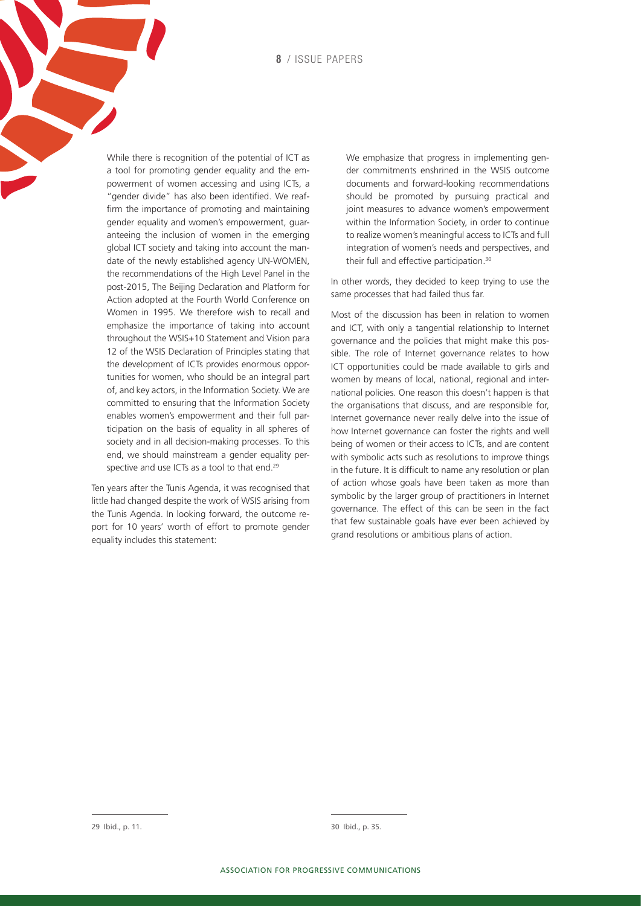**8** / issue papers

While there is recognition of the potential of ICT as a tool for promoting gender equality and the empowerment of women accessing and using ICTs, a "gender divide" has also been identified. We reaffirm the importance of promoting and maintaining gender equality and women's empowerment, guaranteeing the inclusion of women in the emerging global ICT society and taking into account the mandate of the newly established agency UN-WOMEN, the recommendations of the High Level Panel in the post-2015, The Beijing Declaration and Platform for Action adopted at the Fourth World Conference on Women in 1995. We therefore wish to recall and emphasize the importance of taking into account throughout the WSIS+10 Statement and Vision para 12 of the WSIS Declaration of Principles stating that the development of ICTs provides enormous opportunities for women, who should be an integral part of, and key actors, in the Information Society. We are committed to ensuring that the Information Society enables women's empowerment and their full participation on the basis of equality in all spheres of society and in all decision-making processes. To this end, we should mainstream a gender equality perspective and use ICTs as a tool to that end.<sup>29</sup>

Ten years after the Tunis Agenda, it was recognised that little had changed despite the work of WSIS arising from the Tunis Agenda. In looking forward, the outcome report for 10 years' worth of effort to promote gender equality includes this statement:

We emphasize that progress in implementing gender commitments enshrined in the WSIS outcome documents and forward-looking recommendations should be promoted by pursuing practical and joint measures to advance women's empowerment within the Information Society, in order to continue to realize women's meaningful access to ICTs and full integration of women's needs and perspectives, and their full and effective participation.<sup>30</sup>

In other words, they decided to keep trying to use the same processes that had failed thus far.

Most of the discussion has been in relation to women and ICT, with only a tangential relationship to Internet governance and the policies that might make this possible. The role of Internet governance relates to how ICT opportunities could be made available to girls and women by means of local, national, regional and international policies. One reason this doesn't happen is that the organisations that discuss, and are responsible for, Internet governance never really delve into the issue of how Internet governance can foster the rights and well being of women or their access to ICTs, and are content with symbolic acts such as resolutions to improve things in the future. It is difficult to name any resolution or plan of action whose goals have been taken as more than symbolic by the larger group of practitioners in Internet governance. The effect of this can be seen in the fact that few sustainable goals have ever been achieved by grand resolutions or ambitious plans of action.

30 Ibid., p. 35.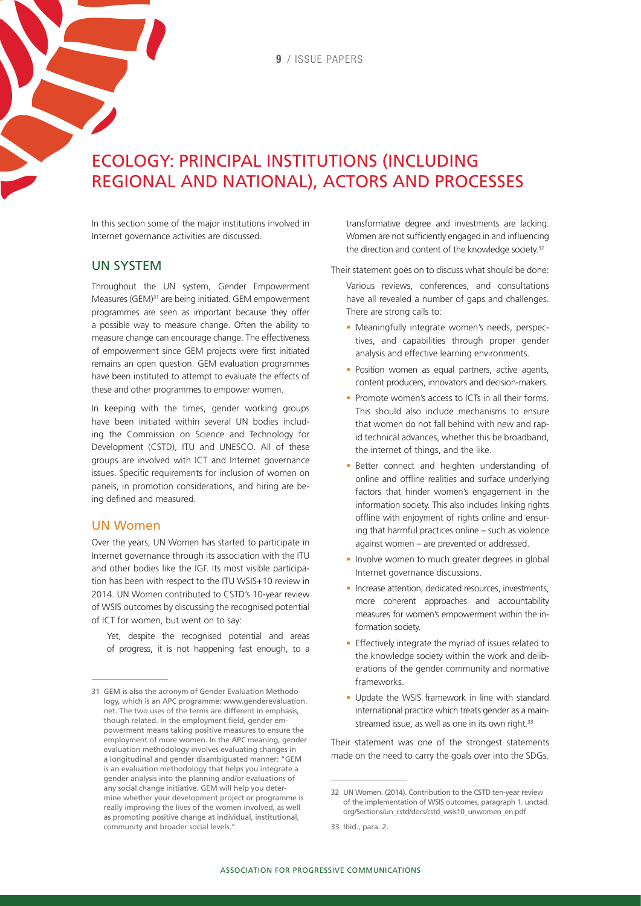# Ecology: Principal institutions (including regional and national), actors and processes

In this section some of the major institutions involved in Internet governance activities are discussed.

#### UN system

Throughout the UN system, Gender Empowerment Measures (GEM)31 are being initiated. GEM empowerment programmes are seen as important because they offer a possible way to measure change. Often the ability to measure change can encourage change. The effectiveness of empowerment since GEM projects were first initiated remains an open question. GEM evaluation programmes have been instituted to attempt to evaluate the effects of these and other programmes to empower women.

In keeping with the times, gender working groups have been initiated within several UN bodies including the Commission on Science and Technology for Development (CSTD), ITU and UNESCO. All of these groups are involved with ICT and Internet governance issues. Specific requirements for inclusion of women on panels, in promotion considerations, and hiring are being defined and measured.

#### UN Women

Over the years, UN Women has started to participate in Internet governance through its association with the ITU and other bodies like the IGF. Its most visible participation has been with respect to the ITU WSIS+10 review in 2014. UN Women contributed to CSTD's 10-year review of WSIS outcomes by discussing the recognised potential of ICT for women, but went on to say:

Yet, despite the recognised potential and areas of progress, it is not happening fast enough, to a

transformative degree and investments are lacking. Women are not sufficiently engaged in and influencing the direction and content of the knowledge society.<sup>32</sup>

Their statement goes on to discuss what should be done:

Various reviews, conferences, and consultations have all revealed a number of gaps and challenges. There are strong calls to:

- Meaningfully integrate women's needs, perspectives, and capabilities through proper gender analysis and effective learning environments.
- Position women as equal partners, active agents, content producers, innovators and decision-makers.
- Promote women's access to ICTs in all their forms. This should also include mechanisms to ensure that women do not fall behind with new and rapid technical advances, whether this be broadband, the internet of things, and the like.
- Better connect and heighten understanding of online and offline realities and surface underlying factors that hinder women's engagement in the information society. This also includes linking rights offline with enjoyment of rights online and ensuring that harmful practices online – such as violence against women – are prevented or addressed.
- Involve women to much greater degrees in global Internet governance discussions.
- Increase attention, dedicated resources, investments, more coherent approaches and accountability measures for women's empowerment within the information society.
- Effectively integrate the myriad of issues related to the knowledge society within the work and deliberations of the gender community and normative frameworks.
- Update the WSIS framework in line with standard international practice which treats gender as a mainstreamed issue, as well as one in its own right.<sup>33</sup>

Their statement was one of the strongest statements made on the need to carry the goals over into the SDGs.

<sup>31</sup> GEM is also the acronym of Gender Evaluation Methodology, which is an APC programme: [www.genderevaluation.](http://www.genderevaluation.net/) [net](http://www.genderevaluation.net/). The two uses of the terms are different in emphasis, though related. In the employment field, gender empowerment means taking positive measures to ensure the employment of more women. In the APC meaning, gender evaluation methodology involves evaluating changes in a longitudinal and gender disambiguated manner: "GEM is an evaluation methodology that helps you integrate a gender analysis into the planning and/or evaluations of any social change initiative. GEM will help you determine whether your development project or programme is really improving the lives of the women involved, as well as promoting positive change at individual, institutional, community and broader social levels."

<sup>32</sup> UN Women. (2014). Contribution to the CSTD ten-year review of the implementation of WSIS outcomes, paragraph 1. [unctad.](http://unctad.org/Sections/un_cstd/docs/cstd_wsis10_unwomen_en.pdf) [org/Sections/un\\_cstd/docs/cstd\\_wsis10\\_unwomen\\_en.pdf](http://unctad.org/Sections/un_cstd/docs/cstd_wsis10_unwomen_en.pdf)

<sup>33</sup> Ibid., para. 2.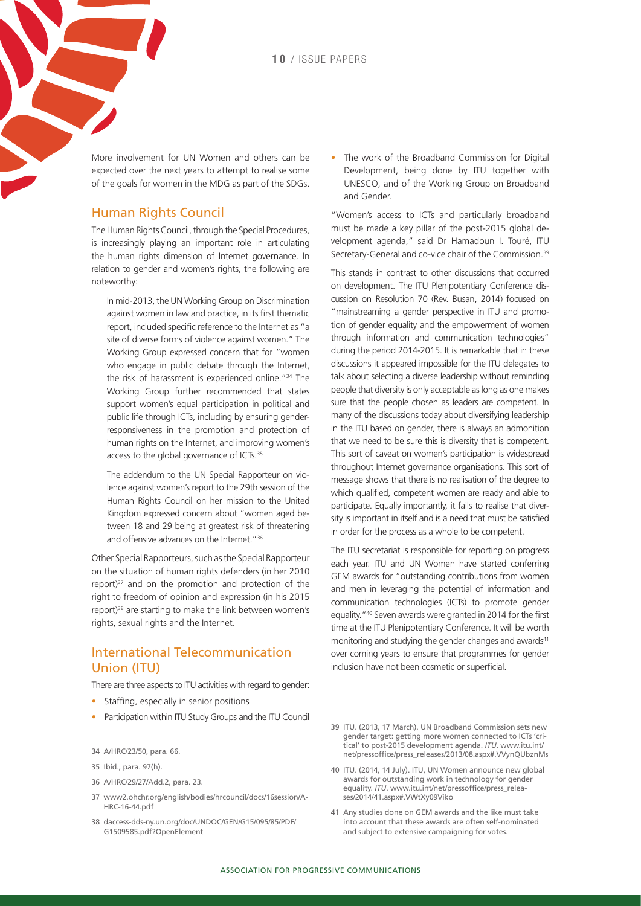More involvement for UN Women and others can be expected over the next years to attempt to realise some of the goals for women in the MDG as part of the SDGs.

#### Human Rights Council

The Human Rights Council, through the Special Procedures, is increasingly playing an important role in articulating the human rights dimension of Internet governance. In relation to gender and women's rights, the following are noteworthy:

In mid-2013, the UN Working Group on Discrimination against women in law and practice, in its first thematic report, included specific reference to the Internet as "a site of diverse forms of violence against women." The Working Group expressed concern that for "women who engage in public debate through the Internet, the risk of harassment is experienced online."34 The Working Group further recommended that states support women's equal participation in political and public life through ICTs, including by ensuring genderresponsiveness in the promotion and protection of human rights on the Internet, and improving women's access to the global governance of ICTs.<sup>35</sup>

The addendum to the UN Special Rapporteur on violence against women's report to the 29th session of the Human Rights Council on her mission to the United Kingdom expressed concern about "women aged between 18 and 29 being at greatest risk of threatening and offensive advances on the Internet."<sup>36</sup>

Other Special Rapporteurs, such as the Special Rapporteur on the situation of human rights defenders (in her 2010 report) $37$  and on the promotion and protection of the right to freedom of opinion and expression (in his 2015 report)<sup>38</sup> are starting to make the link between women's rights, sexual rights and the Internet.

#### International Telecommunication Union (ITU)

There are three aspects to ITU activities with regard to gender:

- Staffing, especially in senior positions
- Participation within ITU Study Groups and the ITU Council

- 36 [A/HRC/29/27/Add.2,](http://www.ohchr.org/EN/HRBodies/HRC/RegularSessions/Session29/Documents/A_HRC_29_27_Add_2_en.doc) para. 23.
- 37 www2.ohchr.org/english/bodies/hrcouncil/docs/16session/A-HRC-16-44.pdf
- 38 [daccess-dds-ny.un.org/doc/UNDOC/GEN/G15/095/85/PDF/](http://daccess-dds-ny.un.org/doc/UNDOC/GEN/G15/095/85/PDF/G1509585.pdf?OpenElement) [G1509585.pdf?OpenElement](http://daccess-dds-ny.un.org/doc/UNDOC/GEN/G15/095/85/PDF/G1509585.pdf?OpenElement)

• The work of the Broadband Commission for Digital Development, being done by ITU together with UNESCO, and of the Working Group on Broadband and Gender.

"Women's access to ICTs and particularly broadband must be made a key pillar of the post-2015 global development agenda," said Dr Hamadoun I. Touré, ITU Secretary-General and co-vice chair of the Commission.<sup>39</sup>

This stands in contrast to other discussions that occurred on development. The ITU Plenipotentiary Conference discussion on Resolution 70 (Rev. Busan, 2014) focused on "mainstreaming a gender perspective in ITU and promotion of gender equality and the empowerment of women through information and communication technologies" during the period 2014-2015. It is remarkable that in these discussions it appeared impossible for the ITU delegates to talk about selecting a diverse leadership without reminding people that diversity is only acceptable as long as one makes sure that the people chosen as leaders are competent. In many of the discussions today about diversifying leadership in the ITU based on gender, there is always an admonition that we need to be sure this is diversity that is competent. This sort of caveat on women's participation is widespread throughout Internet governance organisations. This sort of message shows that there is no realisation of the degree to which qualified, competent women are ready and able to participate. Equally importantly, it fails to realise that diversity is important in itself and is a need that must be satisfied in order for the process as a whole to be competent.

The ITU secretariat is responsible for reporting on progress each year. ITU and UN Women have started conferring GEM awards for "outstanding contributions from women and men in leveraging the potential of information and communication technologies (ICTs) to promote gender equality."40 Seven awards were granted in 2014 for the first time at the ITU Plenipotentiary Conference. It will be worth monitoring and studying the gender changes and awards<sup>41</sup> over coming years to ensure that programmes for gender inclusion have not been cosmetic or superficial.

- 40 ITU. (2014, 14 July). ITU, UN Women announce new global awards for outstanding work in technology for gender equality. *ITU*. www.itu.int/net/pressoffice/press\_releases/2014/41.aspx#.VWtXy09Viko
- 41 Any studies done on GEM awards and the like must take into account that these awards are often self-nominated and subject to extensive campaigning for votes.

<sup>34</sup> [A/HRC/23/50,](http://www.ohchr.org/Documents/HRBodies/HRCouncil/RegularSession/Session23/A.HRC.23.50_EN.pdf) para. 66.

<sup>35</sup> Ibid., para. 97(h).

<sup>39</sup> ITU. (2013, 17 March). UN Broadband Commission sets new gender target: getting more women connected to ICTs 'critical' to post-2015 development agenda. *ITU*. [www.itu.int/](http://www.itu.int/net/pressoffice/press_releases/2013/08.aspx#.VVynQUbznMs) [net/pressoffice/press\\_releases/2013/08.aspx#.VVynQUbznMs](http://www.itu.int/net/pressoffice/press_releases/2013/08.aspx#.VVynQUbznMs)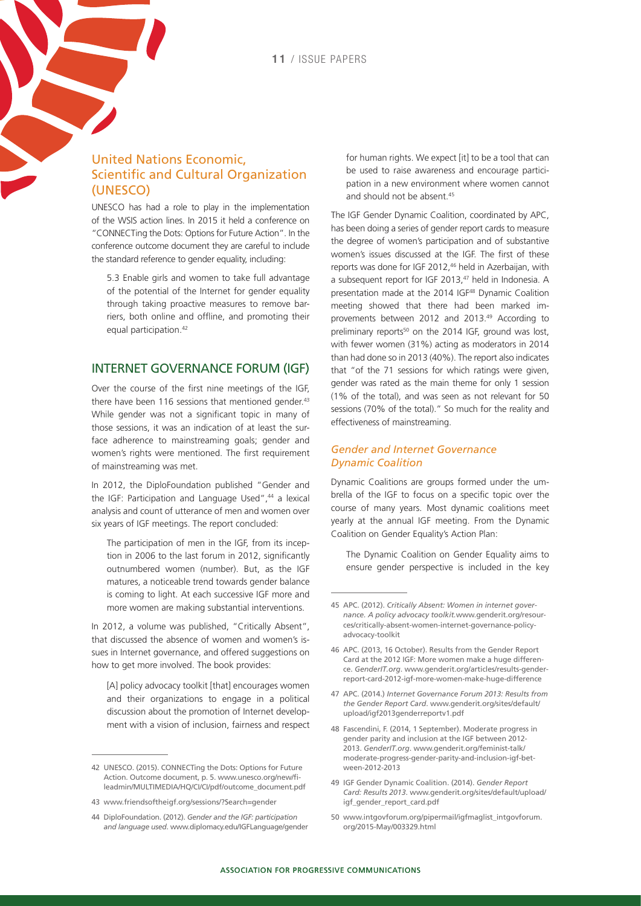#### United Nations Economic, Scientific and Cultural Organization (UNESCO)

UNESCO has had a role to play in the implementation of the WSIS action lines. In 2015 it held a conference on "CONNECTing the Dots: Options for Future Action". In the conference outcome document they are careful to include the standard reference to gender equality, including:

5.3 Enable girls and women to take full advantage of the potential of the Internet for gender equality through taking proactive measures to remove barriers, both online and offline, and promoting their equal participation.<sup>42</sup>

#### Internet Governance Forum (IGF)

Over the course of the first nine meetings of the IGF, there have been 116 sessions that mentioned gender. $43$ While gender was not a significant topic in many of those sessions, it was an indication of at least the surface adherence to mainstreaming goals; gender and women's rights were mentioned. The first requirement of mainstreaming was met.

In 2012, the DiploFoundation published "Gender and the IGF: Participation and Language Used",<sup>44</sup> a lexical analysis and count of utterance of men and women over six years of IGF meetings. The report concluded:

The participation of men in the IGF, from its inception in 2006 to the last forum in 2012, significantly outnumbered women (number). But, as the IGF matures, a noticeable trend towards gender balance is coming to light. At each successive IGF more and more women are making substantial interventions.

In 2012, a volume was published, "Critically Absent", that discussed the absence of women and women's issues in Internet governance, and offered suggestions on how to get more involved. The book provides:

[A] policy advocacy toolkit [that] encourages women and their organizations to engage in a political discussion about the promotion of Internet development with a vision of inclusion, fairness and respect for human rights. We expect [it] to be a tool that can be used to raise awareness and encourage participation in a new environment where women cannot and should not be absent <sup>45</sup>

The IGF Gender Dynamic Coalition, coordinated by APC, has been doing a series of gender report cards to measure the degree of women's participation and of substantive women's issues discussed at the IGF. The first of these reports was done for IGF 2012,<sup>46</sup> held in Azerbaijan, with a subsequent report for IGF 2013,<sup>47</sup> held in Indonesia. A presentation made at the 2014 IGF48 Dynamic Coalition meeting showed that there had been marked improvements between 2012 and 2013.49 According to preliminary reports<sup>50</sup> on the 2014 IGF, ground was lost, with fewer women (31%) acting as moderators in 2014 than had done so in 2013 (40%). The report also indicates that "of the 71 sessions for which ratings were given, gender was rated as the main theme for only 1 session (1% of the total), and was seen as not relevant for 50 sessions (70% of the total)." So much for the reality and effectiveness of mainstreaming.

#### *Gender and Internet Governance Dynamic Coalition*

Dynamic Coalitions are groups formed under the umbrella of the IGF to focus on a specific topic over the course of many years. Most dynamic coalitions meet yearly at the annual IGF meeting. From the Dynamic Coalition on Gender Equality's Action Plan:

The Dynamic Coalition on Gender Equality aims to ensure gender perspective is included in the key

- 47 APC. (2014.) *Internet Governance Forum 2013: Results from the Gender Report Card*. [www.genderit.org/sites/default/](http://www.genderit.org/sites/default/upload/igf2013genderreportv1.pdf) [upload/igf2013genderreportv1.pdf](http://www.genderit.org/sites/default/upload/igf2013genderreportv1.pdf)
- 48 Fascendini, F. (2014, 1 September). Moderate progress in gender parity and inclusion at the IGF between 2012- 2013. *GenderIT.org*. [www.genderit.org/feminist-talk/](http://www.genderit.org/feminist-talk/moderate-progress-gender-parity-and-inclusion-igf-between-2012-2013) [moderate-progress-gender-parity-and-inclusion-igf-bet](http://www.genderit.org/feminist-talk/moderate-progress-gender-parity-and-inclusion-igf-between-2012-2013)[ween-2012-2013](http://www.genderit.org/feminist-talk/moderate-progress-gender-parity-and-inclusion-igf-between-2012-2013)
- 49 IGF Gender Dynamic Coalition. (2014). *Gender Report Card: Results 2013*. [www.genderit.org/sites/default/upload/](http://www.genderit.org/sites/default/upload/igf_gender_report_card.pdf) [igf\\_gender\\_report\\_card.pdf](http://www.genderit.org/sites/default/upload/igf_gender_report_card.pdf)
- 50 [www.intgovforum.org/pipermail/igfmaglist\\_intgovforum.](http://www.intgovforum.org/pipermail/igfmaglist_intgovforum.org/2015-May/003329.html) [org/2015-May/003329.html](http://www.intgovforum.org/pipermail/igfmaglist_intgovforum.org/2015-May/003329.html)

<sup>42</sup> UNESCO. (2015). CONNECTing the Dots: Options for Future Action. Outcome document, p. 5. [www.unesco.org/new/fi](http://www.unesco.org/new/fileadmin/MULTIMEDIA/HQ/CI/CI/pdf/outcome_document.pdf)[leadmin/MULTIMEDIA/HQ/CI/CI/pdf/outcome\\_document.pdf](http://www.unesco.org/new/fileadmin/MULTIMEDIA/HQ/CI/CI/pdf/outcome_document.pdf)

<sup>43</sup> [www.friendsoftheigf.org/sessions/?Search=gender](http://www.friendsoftheigf.org/sessions/?Search=gender)

<sup>44</sup> DiploFoundation. (2012). *Gender and the IGF: participation and language used*. www.diplomacy.edu/IGFLanguage/gender

<sup>45</sup> APC. (2012). *Critically Absent: Women in internet governance. A policy advocacy toolkit.*[www.genderit.org/resour](http://www.genderit.org/resources/critically-absent-women-internet-governance-policy-advocacy-toolkit)[ces/critically-absent-women-internet-governance-policy](http://www.genderit.org/resources/critically-absent-women-internet-governance-policy-advocacy-toolkit)[advocacy-toolkit](http://www.genderit.org/resources/critically-absent-women-internet-governance-policy-advocacy-toolkit) 

<sup>46</sup> APC. (2013, 16 October). Results from the Gender Report Card at the 2012 IGF: More women make a huge difference. *GenderIT.org*. [www.genderit.org/articles/results-gender](http://www.genderit.org/articles/results-gender-report-card-2012-igf-more-women-make-huge-difference)[report-card-2012-igf-more-women-make-huge-difference](http://www.genderit.org/articles/results-gender-report-card-2012-igf-more-women-make-huge-difference)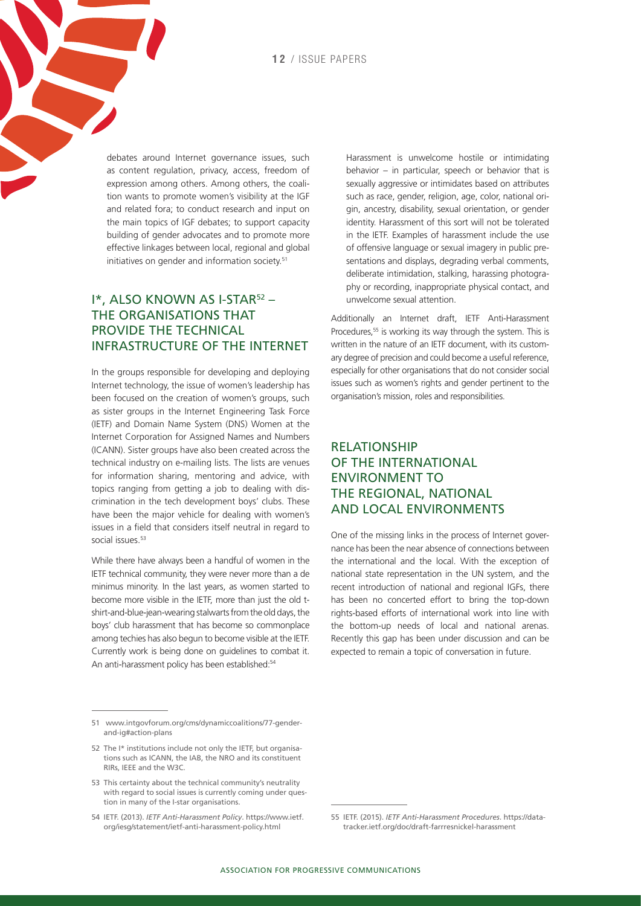debates around Internet governance issues, such as content regulation, privacy, access, freedom of expression among others. Among others, the coalition wants to promote women's visibility at the IGF and related fora; to conduct research and input on the main topics of IGF debates; to support capacity building of gender advocates and to promote more effective linkages between local, regional and global initiatives on gender and information society.<sup>51</sup>

#### I\*, ALSO KNOWN AS I-STAR<sup>52</sup> the organisations that provide the technical infrastructure of the Internet

In the groups responsible for developing and deploying Internet technology, the issue of women's leadership has been focused on the creation of women's groups, such as sister groups in the Internet Engineering Task Force (IETF) and Domain Name System (DNS) Women at the Internet Corporation for Assigned Names and Numbers (ICANN). Sister groups have also been created across the technical industry on e-mailing lists. The lists are venues for information sharing, mentoring and advice, with topics ranging from getting a job to dealing with discrimination in the tech development boys' clubs. These have been the major vehicle for dealing with women's issues in a field that considers itself neutral in regard to social issues.<sup>53</sup>

While there have always been a handful of women in the IETF technical community, they were never more than a de minimus minority. In the last years, as women started to become more visible in the IETF, more than just the old tshirt-and-blue-jean-wearing stalwarts from the old days, the boys' club harassment that has become so commonplace among techies has also begun to become visible at the IETF. Currently work is being done on guidelines to combat it. An anti-harassment policy has been established:<sup>54</sup>

Harassment is unwelcome hostile or intimidating behavior – in particular, speech or behavior that is sexually aggressive or intimidates based on attributes such as race, gender, religion, age, color, national origin, ancestry, disability, sexual orientation, or gender identity. Harassment of this sort will not be tolerated in the IETF. Examples of harassment include the use of offensive language or sexual imagery in public presentations and displays, degrading verbal comments, deliberate intimidation, stalking, harassing photography or recording, inappropriate physical contact, and unwelcome sexual attention.

Additionally an Internet draft, IETF Anti-Harassment Procedures,<sup>55</sup> is working its way through the system. This is written in the nature of an IETF document, with its customary degree of precision and could become a useful reference, especially for other organisations that do not consider social issues such as women's rights and gender pertinent to the organisation's mission, roles and responsibilities.

#### **RELATIONSHIP** of the international environment to the regional, national and local environments

One of the missing links in the process of Internet governance has been the near absence of connections between the international and the local. With the exception of national state representation in the UN system, and the recent introduction of national and regional IGFs, there has been no concerted effort to bring the top-down rights-based efforts of international work into line with the bottom-up needs of local and national arenas. Recently this gap has been under discussion and can be expected to remain a topic of conversation in future.

<sup>51</sup> www.intgovforum.org/cms/dynamiccoalitions/77-genderand-ig#action-plans

<sup>52</sup> The I\* institutions include not only the IETF, but organisations such as ICANN, the IAB, the NRO and its constituent RIRs, IEEE and the W3C.

<sup>53</sup> This certainty about the technical community's neutrality with regard to social issues is currently coming under question in many of the I-star organisations.

<sup>54</sup> IETF. (2013). *IETF Anti-Harassment Policy*. [https://www.ietf.](https://www.ietf.org/iesg/statement/ietf-anti-harassment-policy.html) [org/iesg/statement/ietf-anti-harassment-policy.html](https://www.ietf.org/iesg/statement/ietf-anti-harassment-policy.html)

<sup>55</sup> IETF. (2015). *IETF Anti-Harassment Procedures*. [https://data](https://datatracker.ietf.org/doc/draft-farrresnickel-harassment/)[tracker.ietf.org/doc/draft-farrresnickel-harassment](https://datatracker.ietf.org/doc/draft-farrresnickel-harassment/)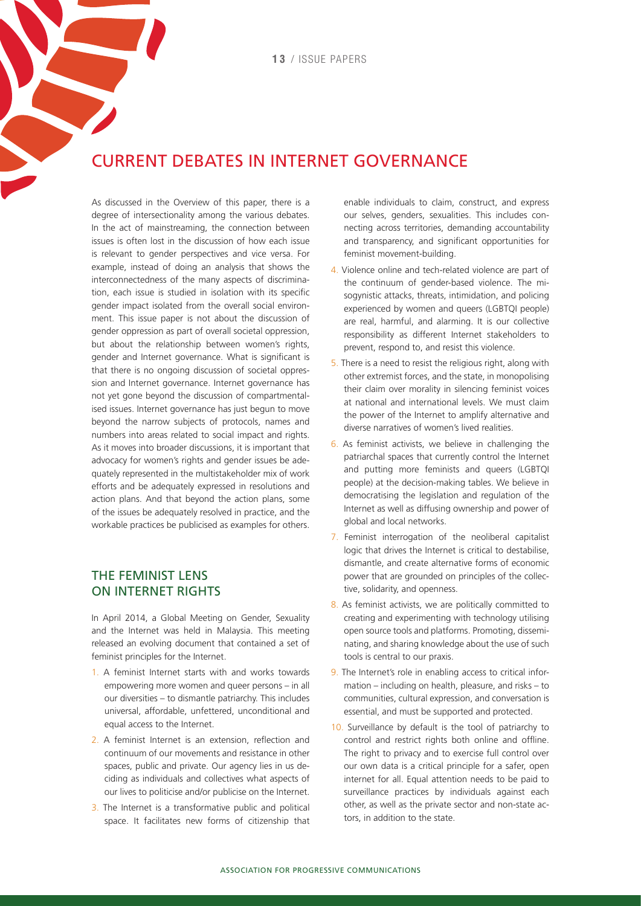### Current debates in Internet governance

As discussed in the Overview of this paper, there is a degree of intersectionality among the various debates. In the act of mainstreaming, the connection between issues is often lost in the discussion of how each issue is relevant to gender perspectives and vice versa. For example, instead of doing an analysis that shows the interconnectedness of the many aspects of discrimination, each issue is studied in isolation with its specific gender impact isolated from the overall social environment. This issue paper is not about the discussion of gender oppression as part of overall societal oppression, but about the relationship between women's rights, gender and Internet governance. What is significant is that there is no ongoing discussion of societal oppression and Internet governance. Internet governance has not yet gone beyond the discussion of compartmentalised issues. Internet governance has just begun to move beyond the narrow subjects of protocols, names and numbers into areas related to social impact and rights. As it moves into broader discussions, it is important that advocacy for women's rights and gender issues be adequately represented in the multistakeholder mix of work efforts and be adequately expressed in resolutions and action plans. And that beyond the action plans, some of the issues be adequately resolved in practice, and the workable practices be publicised as examples for others.

#### The feminist lens on Internet rights

In April 2014, a Global Meeting on Gender, Sexuality and the Internet was held in Malaysia. This meeting released an evolving document that contained a set of feminist principles for the Internet.

- 1. A feminist Internet starts with and works towards empowering more women and queer persons – in all our diversities – to dismantle patriarchy. This includes universal, affordable, unfettered, unconditional and equal access to the Internet.
- 2. A feminist Internet is an extension, reflection and continuum of our movements and resistance in other spaces, public and private. Our agency lies in us deciding as individuals and collectives what aspects of our lives to politicise and/or publicise on the Internet.
- 3. The Internet is a transformative public and political space. It facilitates new forms of citizenship that

enable individuals to claim, construct, and express our selves, genders, sexualities. This includes connecting across territories, demanding accountability and transparency, and significant opportunities for feminist movement-building.

- 4. Violence online and tech-related violence are part of the continuum of gender-based violence. The misogynistic attacks, threats, intimidation, and policing experienced by women and queers (LGBTQI people) are real, harmful, and alarming. It is our collective responsibility as different Internet stakeholders to prevent, respond to, and resist this violence.
- 5. There is a need to resist the religious right, along with other extremist forces, and the state, in monopolising their claim over morality in silencing feminist voices at national and international levels. We must claim the power of the Internet to amplify alternative and diverse narratives of women's lived realities.
- 6. As feminist activists, we believe in challenging the patriarchal spaces that currently control the Internet and putting more feminists and queers (LGBTQI people) at the decision-making tables. We believe in democratising the legislation and regulation of the Internet as well as diffusing ownership and power of global and local networks.
- 7. Feminist interrogation of the neoliberal capitalist logic that drives the Internet is critical to destabilise, dismantle, and create alternative forms of economic power that are grounded on principles of the collective, solidarity, and openness.
- 8. As feminist activists, we are politically committed to creating and experimenting with technology utilising open source tools and platforms. Promoting, disseminating, and sharing knowledge about the use of such tools is central to our praxis.
- 9. The Internet's role in enabling access to critical information – including on health, pleasure, and risks – to communities, cultural expression, and conversation is essential, and must be supported and protected.
- 10. Surveillance by default is the tool of patriarchy to control and restrict rights both online and offline. The right to privacy and to exercise full control over our own data is a critical principle for a safer, open internet for all. Equal attention needs to be paid to surveillance practices by individuals against each other, as well as the private sector and non-state actors, in addition to the state.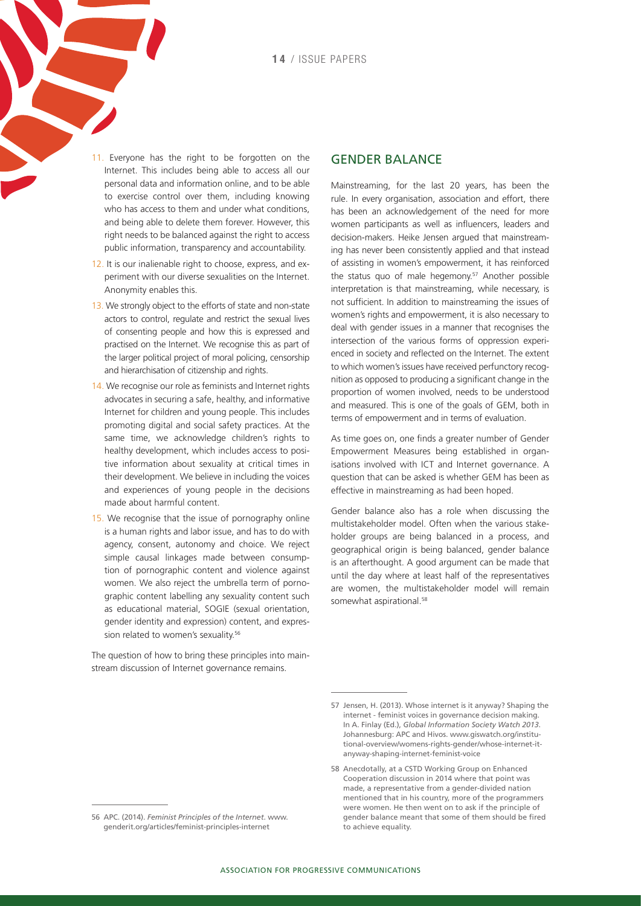- 11. Everyone has the right to be forgotten on the Internet. This includes being able to access all our personal data and information online, and to be able to exercise control over them, including knowing who has access to them and under what conditions, and being able to delete them forever. However, this right needs to be balanced against the right to access public information, transparency and accountability.
- 12. It is our inalienable right to choose, express, and experiment with our diverse sexualities on the Internet. Anonymity enables this.
- 13. We strongly object to the efforts of state and non-state actors to control, regulate and restrict the sexual lives of consenting people and how this is expressed and practised on the Internet. We recognise this as part of the larger political project of moral policing, censorship and hierarchisation of citizenship and rights.
- 14. We recognise our role as feminists and Internet rights advocates in securing a safe, healthy, and informative Internet for children and young people. This includes promoting digital and social safety practices. At the same time, we acknowledge children's rights to healthy development, which includes access to positive information about sexuality at critical times in their development. We believe in including the voices and experiences of young people in the decisions made about harmful content.
- 15. We recognise that the issue of pornography online is a human rights and labor issue, and has to do with agency, consent, autonomy and choice. We reject simple causal linkages made between consumption of pornographic content and violence against women. We also reject the umbrella term of pornographic content labelling any sexuality content such as educational material, SOGIE (sexual orientation, gender identity and expression) content, and expression related to women's sexuality.<sup>56</sup>

The question of how to bring these principles into mainstream discussion of Internet governance remains.

#### Gender balance

Mainstreaming, for the last 20 years, has been the rule. In every organisation, association and effort, there has been an acknowledgement of the need for more women participants as well as influencers, leaders and decision-makers. Heike Jensen argued that mainstreaming has never been consistently applied and that instead of assisting in women's empowerment, it has reinforced the status quo of male hegemony.<sup>57</sup> Another possible interpretation is that mainstreaming, while necessary, is not sufficient. In addition to mainstreaming the issues of women's rights and empowerment, it is also necessary to deal with gender issues in a manner that recognises the intersection of the various forms of oppression experienced in society and reflected on the Internet. The extent to which women's issues have received perfunctory recognition as opposed to producing a significant change in the proportion of women involved, needs to be understood and measured. This is one of the goals of GEM, both in terms of empowerment and in terms of evaluation.

As time goes on, one finds a greater number of Gender Empowerment Measures being established in organisations involved with ICT and Internet governance. A question that can be asked is whether GEM has been as effective in mainstreaming as had been hoped.

Gender balance also has a role when discussing the multistakeholder model. Often when the various stakeholder groups are being balanced in a process, and geographical origin is being balanced, gender balance is an afterthought. A good argument can be made that until the day where at least half of the representatives are women, the multistakeholder model will remain somewhat aspirational.<sup>58</sup>

<sup>57</sup> Jensen, H. (2013). Whose internet is it anyway? Shaping the internet - feminist voices in governance decision making. In A. Finlay (Ed.), *Global Information Society Watch 2013*. Johannesburg: APC and Hivos. [www.giswatch.org/institu](http://www.giswatch.org/institutional-overview/womens-rights-gender/whose-internet-it-anyway-shaping-internet-feminist-voice)[tional-overview/womens-rights-gender/whose-internet-it](http://www.giswatch.org/institutional-overview/womens-rights-gender/whose-internet-it-anyway-shaping-internet-feminist-voice)[anyway-shaping-internet-feminist-voice](http://www.giswatch.org/institutional-overview/womens-rights-gender/whose-internet-it-anyway-shaping-internet-feminist-voice)

<sup>58</sup> Anecdotally, at a CSTD Working Group on Enhanced Cooperation discussion in 2014 where that point was made, a representative from a gender-divided nation mentioned that in his country, more of the programmers were women. He then went on to ask if the principle of gender balance meant that some of them should be fired to achieve equality.

<sup>56</sup> APC. (2014). *Feminist Principles of the Internet*. [www.](http://www.genderit.org/articles/feminist-principles-internet) [genderit.org/articles/feminist-principles-internet](http://www.genderit.org/articles/feminist-principles-internet)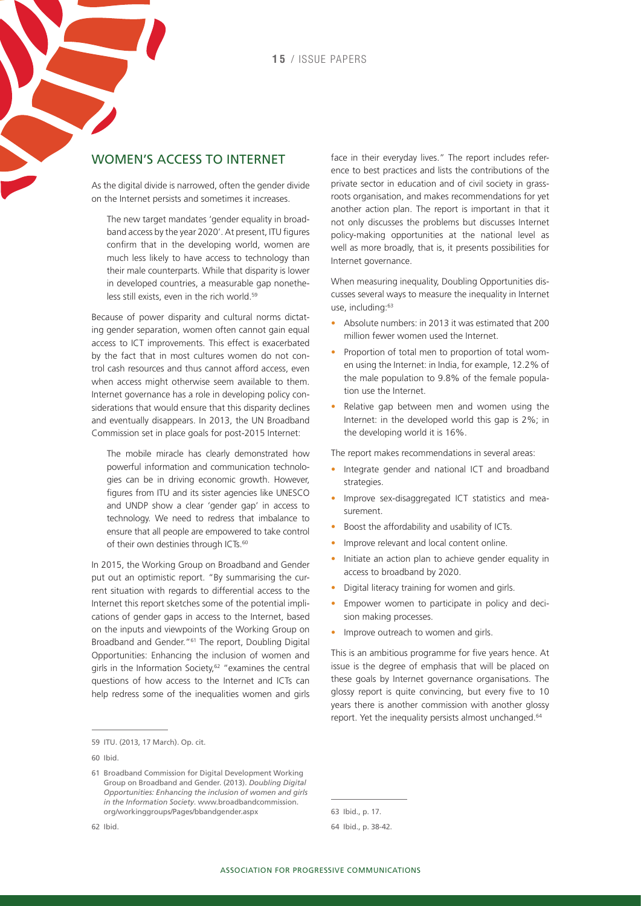#### Women's access to Internet

As the digital divide is narrowed, often the gender divide on the Internet persists and sometimes it increases.

The new target mandates 'gender equality in broadband access by the year 2020'. At present, ITU figures confirm that in the developing world, women are much less likely to have access to technology than their male counterparts. While that disparity is lower in developed countries, a measurable gap nonetheless still exists, even in the rich world.<sup>59</sup>

Because of power disparity and cultural norms dictating gender separation, women often cannot gain equal access to ICT improvements. This effect is exacerbated by the fact that in most cultures women do not control cash resources and thus cannot afford access, even when access might otherwise seem available to them. Internet governance has a role in developing policy considerations that would ensure that this disparity declines and eventually disappears. In 2013, the UN Broadband Commission set in place goals for post-2015 Internet:

The mobile miracle has clearly demonstrated how powerful information and communication technologies can be in driving economic growth. However, figures from ITU and its sister agencies like UNESCO and UNDP show a clear 'gender gap' in access to technology. We need to redress that imbalance to ensure that all people are empowered to take control of their own destinies through ICTs.<sup>60</sup>

In 2015, the Working Group on Broadband and Gender put out an optimistic report. "By summarising the current situation with regards to differential access to the Internet this report sketches some of the potential implications of gender gaps in access to the Internet, based on the inputs and viewpoints of the Working Group on Broadband and Gender."61 The report, Doubling Digital Opportunities: Enhancing the inclusion of women and girls in the Information Society,<sup>62</sup> "examines the central questions of how access to the Internet and ICTs can help redress some of the inequalities women and girls

59 ITU. (2013, 17 March). Op. cit.

face in their everyday lives." The report includes reference to best practices and lists the contributions of the private sector in education and of civil society in grassroots organisation, and makes recommendations for yet another action plan. The report is important in that it not only discusses the problems but discusses Internet policy-making opportunities at the national level as well as more broadly, that is, it presents possibilities for Internet governance.

When measuring inequality, Doubling Opportunities discusses several ways to measure the inequality in Internet use, including:63

- • Absolute numbers: in 2013 it was estimated that 200 million fewer women used the Internet.
- Proportion of total men to proportion of total women using the Internet: in India, for example, 12.2% of the male population to 9.8% of the female population use the Internet.
- Relative gap between men and women using the Internet: in the developed world this gap is 2%; in the developing world it is 16%.

The report makes recommendations in several areas:

- Integrate gender and national ICT and broadband strategies.
- Improve sex-disaggregated ICT statistics and measurement.
- Boost the affordability and usability of ICTs.
- Improve relevant and local content online.
- Initiate an action plan to achieve gender equality in access to broadband by 2020.
- Digital literacy training for women and girls.
- Empower women to participate in policy and decision making processes.
- Improve outreach to women and girls.

This is an ambitious programme for five years hence. At issue is the degree of emphasis that will be placed on these goals by Internet governance organisations. The glossy report is quite convincing, but every five to 10 years there is another commission with another glossy report. Yet the inequality persists almost unchanged.64

63 Ibid., p. 17.

<sup>60</sup> Ibid.

<sup>61</sup> Broadband Commission for Digital Development Working Group on Broadband and Gender. (2013). *Doubling Digital Opportunities: Enhancing the inclusion of women and girls in the Information Society*. [www.broadbandcommission.](http://www.broadbandcommission.org/workinggroups/Pages/bbandgender.aspx) [org/workinggroups/Pages/bbandgender.aspx](http://www.broadbandcommission.org/workinggroups/Pages/bbandgender.aspx)

<sup>62</sup> Ibid.

<sup>64</sup> Ibid., p. 38-42.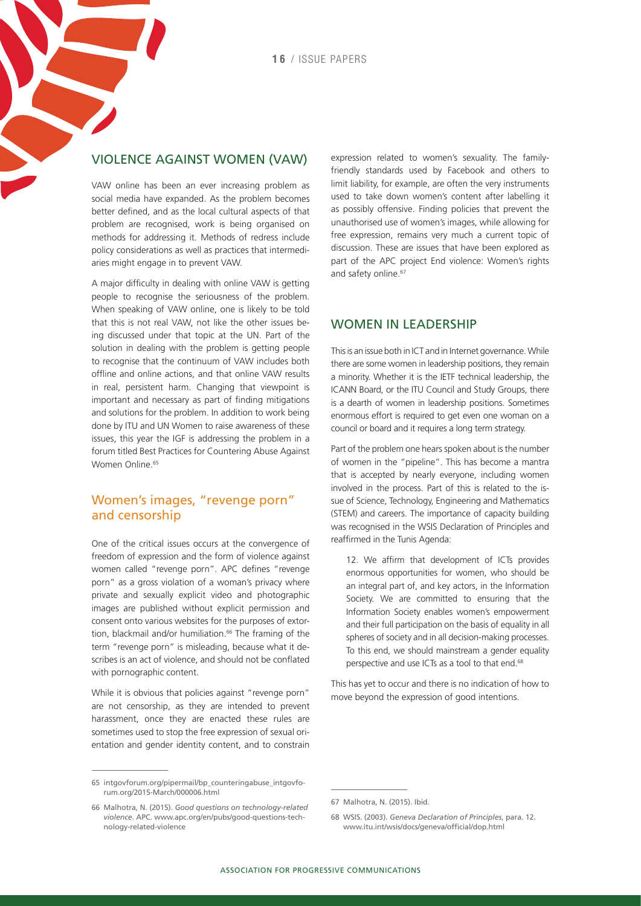#### Violence against women (VAW)

VAW online has been an ever increasing problem as social media have expanded. As the problem becomes better defined, and as the local cultural aspects of that problem are recognised, work is being organised on methods for addressing it. Methods of redress include policy considerations as well as practices that intermediaries might engage in to prevent VAW.

A major difficulty in dealing with online VAW is getting people to recognise the seriousness of the problem. When speaking of VAW online, one is likely to be told that this is not real VAW, not like the other issues being discussed under that topic at the UN. Part of the solution in dealing with the problem is getting people to recognise that the continuum of VAW includes both offline and online actions, and that online VAW results in real, persistent harm. Changing that viewpoint is important and necessary as part of finding mitigations and solutions for the problem. In addition to work being done by ITU and UN Women to raise awareness of these issues, this year the IGF is addressing the problem in a forum titled [Best Practices for Countering Abuse Against](http://intgovforum.org/pipermail/bp_counteringabuse_intgovforum.org/2015-March/000006.html)  [Women Online.](http://intgovforum.org/pipermail/bp_counteringabuse_intgovforum.org/2015-March/000006.html)<sup>65</sup>

#### Women's images, "revenge porn" and censorship

One of the critical issues occurs at the convergence of freedom of expression and the form of violence against women called "revenge porn". APC defines "revenge porn" as a gross violation of a woman's privacy where private and sexually explicit video and photographic images are published without explicit permission and consent onto various websites for the purposes of extortion, blackmail and/or humiliation.<sup>66</sup> The framing of the term "revenge porn" is misleading, because what it describes is an act of violence, and should not be conflated with pornographic content.

While it is obvious that policies against "revenge porn" are not censorship, as they are intended to prevent harassment, once they are enacted these rules are sometimes used to stop the free expression of sexual orientation and gender identity content, and to constrain expression related to women's sexuality. The familyfriendly standards used by Facebook and others to limit liability, for example, are often the very instruments used to take down women's content after labelling it as possibly offensive. Finding policies that prevent the unauthorised use of women's images, while allowing for free expression, remains very much a current topic of discussion. These are issues that have been explored as part of the APC project End violence: Women's rights and safety online.<sup>67</sup>

#### WOMEN IN LEADERSHIP

This is an issue both in ICT and in Internet governance. While there are some women in leadership positions, they remain a minority. Whether it is the IETF technical leadership, the ICANN Board, or the ITU Council and Study Groups, there is a dearth of women in leadership positions. Sometimes enormous effort is required to get even one woman on a council or board and it requires a long term strategy.

Part of the problem one hears spoken about is the number of women in the "pipeline". This has become a mantra that is accepted by nearly everyone, including women involved in the process. Part of this is related to the issue of Science, Technology, Engineering and Mathematics (STEM) and careers. The importance of capacity building was recognised in the WSIS Declaration of Principles and reaffirmed in the Tunis Agenda:

12. We affirm that development of ICTs provides enormous opportunities for women, who should be an integral part of, and key actors, in the Information Society. We are committed to ensuring that the Information Society enables women's empowerment and their full participation on the basis of equality in all spheres of society and in all decision-making processes. To this end, we should mainstream a gender equality perspective and use ICTs as a tool to that end.<sup>68</sup>

This has yet to occur and there is no indication of how to move beyond the expression of good intentions.

<sup>65</sup> [intgovforum.org/pipermail/bp\\_counteringabuse\\_intgovfo](intgovforum.org/pipermail/bp_counteringabuse_intgovforum.org/2015-March/000006.html)[rum.org/2015-March/000006.html](intgovforum.org/pipermail/bp_counteringabuse_intgovforum.org/2015-March/000006.html)

<sup>66</sup> Malhotra, N. (2015). *Good questions on technology-related violence*. APC. [www.apc.org/en/pubs/good-questions-tech](http://www.apc.org/en/pubs/good-questions-technology-related-violence)[nology-related-violence](http://www.apc.org/en/pubs/good-questions-technology-related-violence)

<sup>67</sup> Malhotra, N. (2015). Ibid.

<sup>68</sup> WSIS. (2003). *Geneva Declaration of Principles*, para. 12. [www.itu.int/wsis/docs/geneva/official/dop.html](http://www.itu.int/wsis/docs/geneva/official/dop.html)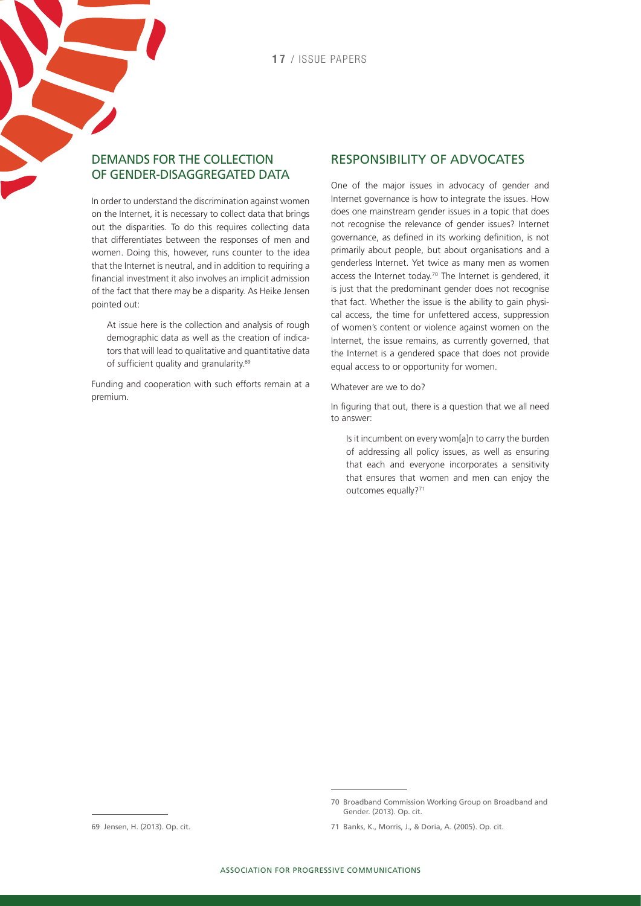#### Demands for the collection of gender-disaggregated data

In order to understand the discrimination against women on the Internet, it is necessary to collect data that brings out the disparities. To do this requires collecting data that differentiates between the responses of men and women. Doing this, however, runs counter to the idea that the Internet is neutral, and in addition to requiring a financial investment it also involves an implicit admission of the fact that there may be a disparity. As Heike Jensen pointed out:

At issue here is the collection and analysis of rough demographic data as well as the creation of indicators that will lead to qualitative and quantitative data of sufficient quality and granularity.<sup>69</sup>

Funding and cooperation with such efforts remain at a premium.

#### Responsibility of advocates

One of the major issues in advocacy of gender and Internet governance is how to integrate the issues. How does one mainstream gender issues in a topic that does not recognise the relevance of gender issues? Internet governance, as defined in its working definition, is not primarily about people, but about organisations and a genderless Internet. Yet twice as many men as women access the Internet today.<sup>70</sup> The Internet is gendered, it is just that the predominant gender does not recognise that fact. Whether the issue is the ability to gain physical access, the time for unfettered access, suppression of women's content or violence against women on the Internet, the issue remains, as currently governed, that the Internet is a gendered space that does not provide equal access to or opportunity for women.

Whatever are we to do?

In figuring that out, there is a question that we all need to answer:

Is it incumbent on every wom[a]n to carry the burden of addressing all policy issues, as well as ensuring that each and everyone incorporates a sensitivity that ensures that women and men can enjoy the outcomes equally?<sup>71</sup>

<sup>70</sup> Broadband Commission Working Group on Broadband and Gender. (2013). Op. cit.

<sup>71</sup> Banks, K., Morris, J., & Doria, A. (2005). Op. cit.

<sup>69</sup> Jensen, H. (2013). Op. cit.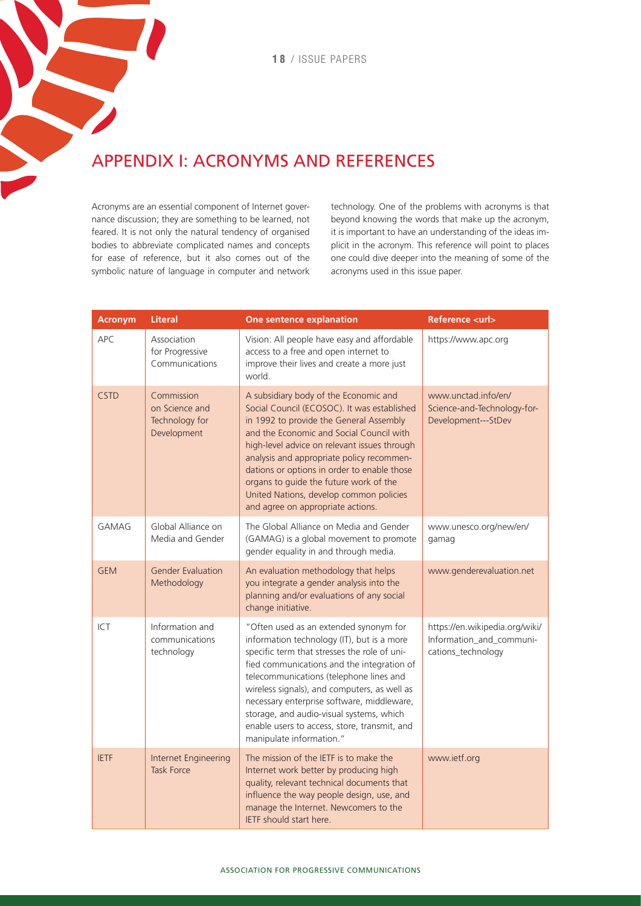## Appendix I: Acronyms and references

Acronyms are an essential component of Internet governance discussion; they are something to be learned, not feared. It is not only the natural tendency of organised bodies to abbreviate complicated names and concepts for ease of reference, but it also comes out of the symbolic nature of language in computer and network technology. One of the problems with acronyms is that beyond knowing the words that make up the acronym, it is important to have an understanding of the ideas implicit in the acronym. This reference will point to places one could dive deeper into the meaning of some of the acronyms used in this issue paper.

| <b>Acronym</b> | <b>Literal</b>                                                | One sentence explanation                                                                                                                                                                                                                                                                                                                                                                                                                            | <b>Reference <url></url></b>                                                     |
|----------------|---------------------------------------------------------------|-----------------------------------------------------------------------------------------------------------------------------------------------------------------------------------------------------------------------------------------------------------------------------------------------------------------------------------------------------------------------------------------------------------------------------------------------------|----------------------------------------------------------------------------------|
| APC            | Association<br>for Progressive<br>Communications              | Vision: All people have easy and affordable<br>access to a free and open internet to<br>improve their lives and create a more just<br>world.                                                                                                                                                                                                                                                                                                        | https://www.apc.org                                                              |
| <b>CSTD</b>    | Commission<br>on Science and<br>Technology for<br>Development | A subsidiary body of the Economic and<br>Social Council (ECOSOC). It was established<br>in 1992 to provide the General Assembly<br>and the Economic and Social Council with<br>high-level advice on relevant issues through<br>analysis and appropriate policy recommen-<br>dations or options in order to enable those<br>organs to guide the future work of the<br>United Nations, develop common policies<br>and agree on appropriate actions.   | www.unctad.info/en/<br>Science-and-Technology-for-<br>Development---StDev        |
| <b>GAMAG</b>   | Global Alliance on<br>Media and Gender                        | The Global Alliance on Media and Gender<br>(GAMAG) is a global movement to promote<br>gender equality in and through media.                                                                                                                                                                                                                                                                                                                         | www.unesco.org/new/en/<br>gamag                                                  |
| <b>GEM</b>     | <b>Gender Evaluation</b><br>Methodology                       | An evaluation methodology that helps<br>you integrate a gender analysis into the<br>planning and/or evaluations of any social<br>change initiative.                                                                                                                                                                                                                                                                                                 | www.genderevaluation.net                                                         |
| ICT            | Information and<br>communications<br>technology               | "Often used as an extended synonym for<br>information technology (IT), but is a more<br>specific term that stresses the role of uni-<br>fied communications and the integration of<br>telecommunications (telephone lines and<br>wireless signals), and computers, as well as<br>necessary enterprise software, middleware,<br>storage, and audio-visual systems, which<br>enable users to access, store, transmit, and<br>manipulate information." | https://en.wikipedia.org/wiki/<br>Information_and_communi-<br>cations_technology |
| <b>IETF</b>    | Internet Engineering<br><b>Task Force</b>                     | The mission of the IETF is to make the<br>Internet work better by producing high<br>quality, relevant technical documents that<br>influence the way people design, use, and<br>manage the Internet. Newcomers to the<br>IETF should start here.                                                                                                                                                                                                     | www.ietf.org                                                                     |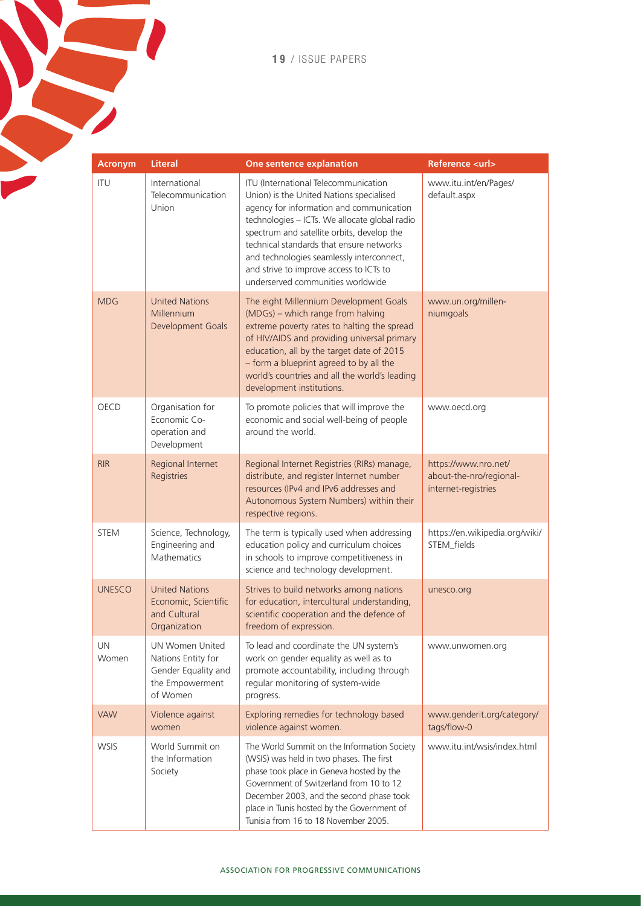**19** / issue papers

**Contract Contract** 

| <b>Acronym</b> | <b>Literal</b>                                                                                     | One sentence explanation                                                                                                                                                                                                                                                                                                                                                                             | Reference <url></url>                                                  |
|----------------|----------------------------------------------------------------------------------------------------|------------------------------------------------------------------------------------------------------------------------------------------------------------------------------------------------------------------------------------------------------------------------------------------------------------------------------------------------------------------------------------------------------|------------------------------------------------------------------------|
| <b>ITU</b>     | International<br>Telecommunication<br>Union                                                        | ITU (International Telecommunication<br>Union) is the United Nations specialised<br>agency for information and communication<br>technologies - ICTs. We allocate global radio<br>spectrum and satellite orbits, develop the<br>technical standards that ensure networks<br>and technologies seamlessly interconnect,<br>and strive to improve access to ICTs to<br>underserved communities worldwide | www.itu.int/en/Pages/<br>default.aspx                                  |
| <b>MDG</b>     | <b>United Nations</b><br>Millennium<br>Development Goals                                           | The eight Millennium Development Goals<br>(MDGs) – which range from halving<br>extreme poverty rates to halting the spread<br>of HIV/AIDS and providing universal primary<br>education, all by the target date of 2015<br>- form a blueprint agreed to by all the<br>world's countries and all the world's leading<br>development institutions.                                                      | www.un.org/millen-<br>niumgoals                                        |
| <b>OECD</b>    | Organisation for<br>Economic Co-<br>operation and<br>Development                                   | To promote policies that will improve the<br>economic and social well-being of people<br>around the world.                                                                                                                                                                                                                                                                                           | www.oecd.org                                                           |
| <b>RIR</b>     | Regional Internet<br>Registries                                                                    | Regional Internet Registries (RIRs) manage,<br>distribute, and register Internet number<br>resources (IPv4 and IPv6 addresses and<br>Autonomous System Numbers) within their<br>respective regions.                                                                                                                                                                                                  | https://www.nro.net/<br>about-the-nro/regional-<br>internet-registries |
| <b>STEM</b>    | Science, Technology,<br>Engineering and<br>Mathematics                                             | The term is typically used when addressing<br>education policy and curriculum choices<br>in schools to improve competitiveness in<br>science and technology development.                                                                                                                                                                                                                             | https://en.wikipedia.org/wiki/<br>STEM_fields                          |
| <b>UNESCO</b>  | <b>United Nations</b><br>Economic, Scientific<br>and Cultural<br>Organization                      | Strives to build networks among nations<br>for education, intercultural understanding,<br>scientific cooperation and the defence of<br>freedom of expression.                                                                                                                                                                                                                                        | unesco.org                                                             |
| UN<br>Women    | <b>UN Women United</b><br>Nations Entity for<br>Gender Equality and<br>the Empowerment<br>of Women | To lead and coordinate the UN system's<br>work on gender equality as well as to<br>promote accountability, including through<br>regular monitoring of system-wide<br>progress.                                                                                                                                                                                                                       | www.unwomen.org                                                        |
| <b>VAW</b>     | Violence against<br>women                                                                          | Exploring remedies for technology based<br>violence against women.                                                                                                                                                                                                                                                                                                                                   | www.genderit.org/category/<br>tags/flow-0                              |
| <b>WSIS</b>    | World Summit on<br>the Information<br>Society                                                      | The World Summit on the Information Society<br>(WSIS) was held in two phases. The first<br>phase took place in Geneva hosted by the<br>Government of Switzerland from 10 to 12<br>December 2003, and the second phase took<br>place in Tunis hosted by the Government of<br>Tunisia from 16 to 18 November 2005.                                                                                     | www.itu.int/wsis/index.html                                            |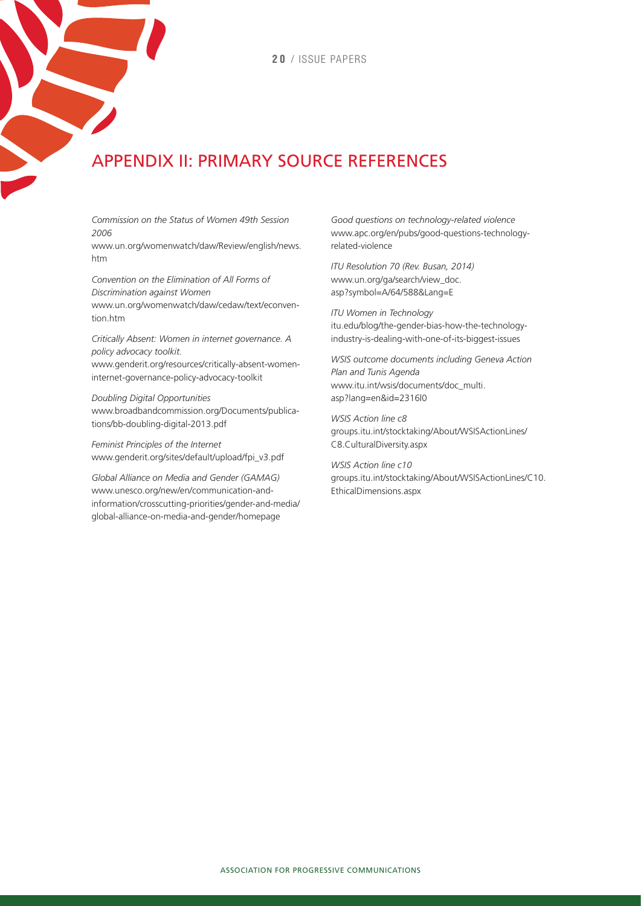# Appendix II: Primary source references

*Commission on the Status of Women 49th Session 2006*

[www.un.org/womenwatch/daw/Review/english/news.](http://www.un.org/womenwatch/daw/Review/english/news.htm) [htm](http://www.un.org/womenwatch/daw/Review/english/news.htm)

*Convention on the Elimination of All Forms of Discrimination against Women*  [www.un.org/womenwatch/daw/cedaw/text/econven](http://www.un.org/womenwatch/daw/cedaw/text/econvention.htm)tion htm

*Critically Absent: Women in internet governance. A policy advocacy toolkit.* [www.genderit.org/resources/critically-absent-women-](http://www.genderit.org/resources/critically-absent-women-internet-governance-policy-advocacy-toolkit)

[internet-governance-policy-advocacy-toolkit](http://www.genderit.org/resources/critically-absent-women-internet-governance-policy-advocacy-toolkit)

*Doubling Digital Opportunities* [www.broadbandcommission.org/Documents/publica](http://www.broadbandcommission.org/Documents/publications/bb-doubling-digital-2013.pdf)[tions/bb-doubling-digital-2013.pdf](http://www.broadbandcommission.org/Documents/publications/bb-doubling-digital-2013.pdf)

*Feminist Principles of the Internet* [www.genderit.org/sites/default/upload/fpi\\_v3.pdf](http://www.genderit.org/sites/default/upload/fpi_v3.pdf)

*Global Alliance on Media and Gender (GAMAG)* [www.unesco.org/new/en/communication-and](http://www.unesco.org/new/en/communication-and-information/crosscutting-priorities/gender-and-media/global-alliance-on-media-and-gender/homepage/)[information/crosscutting-priorities/gender-and-media/](http://www.unesco.org/new/en/communication-and-information/crosscutting-priorities/gender-and-media/global-alliance-on-media-and-gender/homepage/) [global-alliance-on-media-and-gender/homepage](http://www.unesco.org/new/en/communication-and-information/crosscutting-priorities/gender-and-media/global-alliance-on-media-and-gender/homepage/)

*Good questions on technology-related violence* [www.apc.org/en/pubs/good-questions-technology](http://www.apc.org/en/pubs/good-questions-technology-related-violence)[related-violence](http://www.apc.org/en/pubs/good-questions-technology-related-violence)

*ITU Resolution 70 (Rev. Busan, 2014)* [www.un.org/ga/search/view\\_doc.](http://www.un.org/ga/search/view_doc.asp?symbol=A/64/588&Lang=E) [asp?symbol=A/64/588&Lang=E](http://www.un.org/ga/search/view_doc.asp?symbol=A/64/588&Lang=E)

*ITU Women in Technology* [itu.edu/blog/the-gender-bias-how-the-technology](http://itu.edu/blog/the-gender-bias-how-the-technology-industry-is-dealing-with-one-of-its-biggest-issues)[industry-is-dealing-with-one-of-its-biggest-issues](http://itu.edu/blog/the-gender-bias-how-the-technology-industry-is-dealing-with-one-of-its-biggest-issues)

*WSIS outcome documents including Geneva Action Plan and Tunis Agenda* [www.itu.int/wsis/documents/doc\\_multi.](http://www.itu.int/wsis/documents/doc_multi.asp?lang=en&id=2316|0) [asp?lang=en&id=2316|0](http://www.itu.int/wsis/documents/doc_multi.asp?lang=en&id=2316|0)

*WSIS Action line c8*  [groups.itu.int/stocktaking/About/WSISActionLines/](http://groups.itu.int/stocktaking/About/WSISActionLines/C8.CulturalDiversity.aspx) [C8.CulturalDiversity.aspx](http://groups.itu.int/stocktaking/About/WSISActionLines/C8.CulturalDiversity.aspx)

*WSIS Action line c10* [groups.itu.int/stocktaking/About/WSISActionLines/C10.](http://groups.itu.int/stocktaking/About/WSISActionLines/C10.EthicalDimensions.aspx) [EthicalDimensions.aspx](http://groups.itu.int/stocktaking/About/WSISActionLines/C10.EthicalDimensions.aspx)